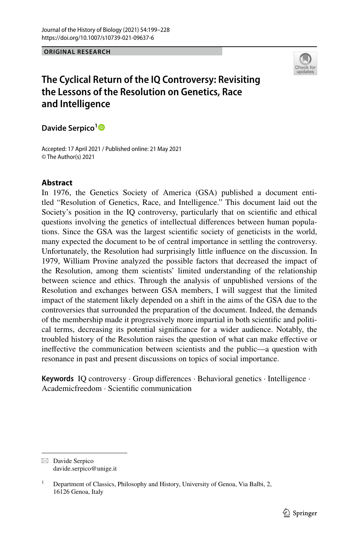#### **ORIGINAL RESEARCH**



# **The Cyclical Return of the IQ Controversy: Revisiting the Lessons of the Resolution on Genetics, Race and Intelligence**

**Davide Serpico[1](http://orcid.org/0000-0003-3997-3056)**

Accepted: 17 April 2021 / Published online: 21 May 2021 © The Author(s) 2021

### **Abstract**

In 1976, the Genetics Society of America (GSA) published a document entitled "Resolution of Genetics, Race, and Intelligence." This document laid out the Society's position in the IQ controversy, particularly that on scientifc and ethical questions involving the genetics of intellectual diferences between human populations. Since the GSA was the largest scientifc society of geneticists in the world, many expected the document to be of central importance in settling the controversy. Unfortunately, the Resolution had surprisingly little infuence on the discussion. In 1979, William Provine analyzed the possible factors that decreased the impact of the Resolution, among them scientists' limited understanding of the relationship between science and ethics. Through the analysis of unpublished versions of the Resolution and exchanges between GSA members, I will suggest that the limited impact of the statement likely depended on a shift in the aims of the GSA due to the controversies that surrounded the preparation of the document. Indeed, the demands of the membership made it progressively more impartial in both scientifc and political terms, decreasing its potential signifcance for a wider audience. Notably, the troubled history of the Resolution raises the question of what can make efective or inefective the communication between scientists and the public—a question with resonance in past and present discussions on topics of social importance.

**Keywords** IQ controversy · Group diferences · Behavioral genetics · Intelligence · Academicfreedom · Scientifc communication

 $\boxtimes$  Davide Serpico davide.serpico@unige.it

<sup>&</sup>lt;sup>1</sup> Department of Classics, Philosophy and History, University of Genoa, Via Balbi, 2, 16126 Genoa, Italy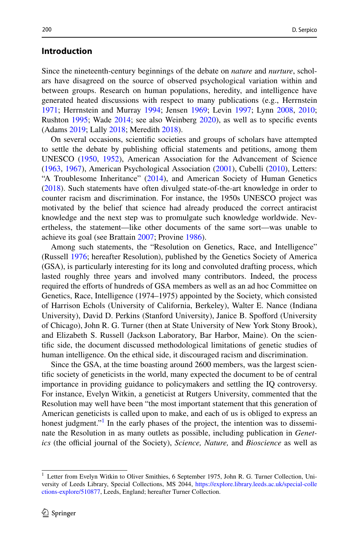#### **Introduction**

Since the nineteenth-century beginnings of the debate on *nature* and *nurture*, scholars have disagreed on the source of observed psychological variation within and between groups. Research on human populations, heredity, and intelligence have generated heated discussions with respect to many publications (e.g., Herrnstein [1971](#page-27-0); Herrnstein and Murray [1994;](#page-27-1) Jensen [1969;](#page-28-0) Levin [1997;](#page-28-1) Lynn [2008](#page-28-2), [2010;](#page-28-3) Rushton [1995;](#page-29-0) Wade [2014](#page-29-1); see also Weinberg [2020](#page-29-2)), as well as to specifc events (Adams [2019](#page-26-0); Lally [2018;](#page-28-4) Meredith [2018](#page-28-5)).

On several occasions, scientifc societies and groups of scholars have attempted to settle the debate by publishing official statements and petitions, among them UNESCO ([1950](#page-29-3)[, 1952\)](#page-29-4), American Association for the Advancement of Science [\(1963](#page-26-1), [1967\)](#page-26-2), American Psychological Association [\(2001](#page-26-3)), Cubelli ([2010\)](#page-27-2), Letters: "A Troublesome Inheritance" [\(2014](#page-29-5)), and American Society of Human Genetics [\(2018](#page-26-4)). Such statements have often divulged state-of-the-art knowledge in order to counter racism and discrimination. For instance, the 1950s UNESCO project was motivated by the belief that science had already produced the correct antiracist knowledge and the next step was to promulgate such knowledge worldwide. Nevertheless, the statement—like other documents of the same sort—was unable to achieve its goal (see Brattain [2007;](#page-27-3) Provine [1986](#page-28-6)).

Among such statements, the "Resolution on Genetics, Race, and Intelligence" (Russell [1976;](#page-29-6) hereafter Resolution), published by the Genetics Society of America (GSA), is particularly interesting for its long and convoluted drafting process, which lasted roughly three years and involved many contributors. Indeed, the process required the eforts of hundreds of GSA members as well as an ad hoc Committee on Genetics, Race, Intelligence (1974–1975) appointed by the Society, which consisted of Harrison Echols (University of California, Berkeley), Walter E. Nance (Indiana University), David D. Perkins (Stanford University), Janice B. Spoford (University of Chicago), John R. G. Turner (then at State University of New York Stony Brook), and Elizabeth S. Russell (Jackson Laboratory, Bar Harbor, Maine). On the scientifc side, the document discussed methodological limitations of genetic studies of human intelligence. On the ethical side, it discouraged racism and discrimination.

Since the GSA, at the time boasting around 2600 members, was the largest scientifc society of geneticists in the world, many expected the document to be of central importance in providing guidance to policymakers and settling the IQ controversy. For instance, Evelyn Witkin, a geneticist at Rutgers University, commented that the Resolution may well have been "the most important statement that this generation of American geneticists is called upon to make, and each of us is obliged to express an honest judgment."<sup>[1](#page-1-0)</sup> In the early phases of the project, the intention was to disseminate the Resolution in as many outlets as possible, including publication in *Genetics* (the official journal of the Society), *Science*, *Nature*, and *Bioscience* as well as

<span id="page-1-0"></span><sup>&</sup>lt;sup>1</sup> Letter from Evelyn Witkin to Oliver Smithies, 6 September 1975, John R. G. Turner Collection, University of Leeds Library, Special Collections, MS 2044, [https://explore.library.leeds.ac.uk/special-colle](https://explore.library.leeds.ac.uk/special-collections-explore/510877) [ctions-explore/510877,](https://explore.library.leeds.ac.uk/special-collections-explore/510877) Leeds, England; hereafter Turner Collection.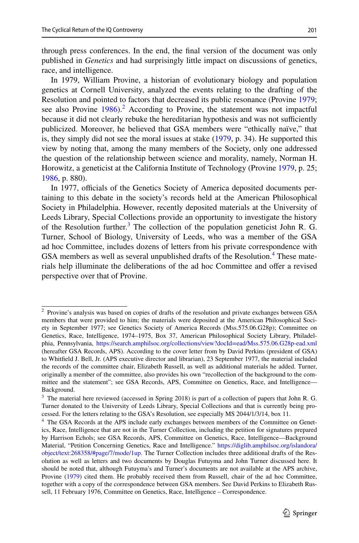through press conferences. In the end, the fnal version of the document was only published in *Genetics* and had surprisingly little impact on discussions of genetics, race, and intelligence.

In 1979, William Provine, a historian of evolutionary biology and population genetics at Cornell University, analyzed the events relating to the drafting of the Resolution and pointed to factors that decreased its public resonance (Provine [1979;](#page-28-7) see also Provine  $1986$ <sup>[2](#page-2-0)</sup> According to Provine, the statement was not impactful because it did not clearly rebuke the hereditarian hypothesis and was not sufficiently publicized. Moreover, he believed that GSA members were "ethically naïve," that is, they simply did not see the moral issues at stake [\(1979](#page-28-7), p. 34). He supported this view by noting that, among the many members of the Society, only one addressed the question of the relationship between science and morality, namely, Norman H. Horowitz, a geneticist at the California Institute of Technology (Provine [1979,](#page-28-7) p. 25; [1986](#page-28-6), p. 880).

In 1977, officials of the Genetics Society of America deposited documents pertaining to this debate in the society's records held at the American Philosophical Society in Philadelphia. However, recently deposited materials at the University of Leeds Library, Special Collections provide an opportunity to investigate the history of the Resolution further.<sup>[3](#page-2-1)</sup> The collection of the population geneticist John R. G. Turner, School of Biology, University of Leeds, who was a member of the GSA ad hoc Committee, includes dozens of letters from his private correspondence with GSA members as well as several unpublished drafts of the Resolution.<sup>4</sup> These materials help illuminate the deliberations of the ad hoc Committee and ofer a revised perspective over that of Provine.

<span id="page-2-0"></span><sup>2</sup> Provine's analysis was based on copies of drafts of the resolution and private exchanges between GSA members that were provided to him; the materials were deposited at the American Philosophical Society in September 1977; see Genetics Society of America Records (Mss.575.06.G28p); Committee on Genetics, Race, Intelligence, 1974–1975, Box 37, American Philosophical Society Library, Philadelphia, Pennsylvania, <https://search.amphilsoc.org/collections/view?docId=ead/Mss.575.06.G28p-ead.xml> (hereafter GSA Records, APS). According to the cover letter from by David Perkins (president of GSA) to Whitfeld J. Bell, Jr. (APS executive director and librarian), 23 September 1977, the material included the records of the committee chair, Elizabeth Russell, as well as additional materials he added. Turner, originally a member of the committee, also provides his own "recollection of the background to the committee and the statement"; see GSA Records, APS, Committee on Genetics, Race, and Intelligence— Background.

<span id="page-2-1"></span><sup>3</sup> The material here reviewed (accessed in Spring 2018) is part of a collection of papers that John R. G. Turner donated to the University of Leeds Library, Special Collections and that is currently being processed. For the letters relating to the GSA's Resolution, see especially MS 2044/1/3/14, box 11.

<span id="page-2-2"></span><sup>&</sup>lt;sup>4</sup> The GSA Records at the APS include early exchanges between members of the Committee on Genetics, Race, Intelligence that are not in the Turner Collection, including the petition for signatures prepared by Harrison Echols; see GSA Records, APS, Committee on Genetics, Race, Intelligence—Background Material, "Petition Concerning Genetics, Race and Intelligence." [https://diglib.amphilsoc.org/islandora/](https://diglib.amphilsoc.org/islandora/object/text:268358/#page/7/mode/1up) [object/text:268358/#page/7/mode/1up.](https://diglib.amphilsoc.org/islandora/object/text:268358/#page/7/mode/1up) The Turner Collection includes three additional drafts of the Resolution as well as letters and two documents by Douglas Futuyma and John Turner discussed here. It should be noted that, although Futuyma's and Turner's documents are not available at the APS archive, Provine ([1979\)](#page-28-7) cited them. He probably received them from Russell, chair of the ad hoc Committee, together with a copy of the correspondence between GSA members. See David Perkins to Elizabeth Russell, 11 February 1976, Committee on Genetics, Race, Intelligence – Correspondence.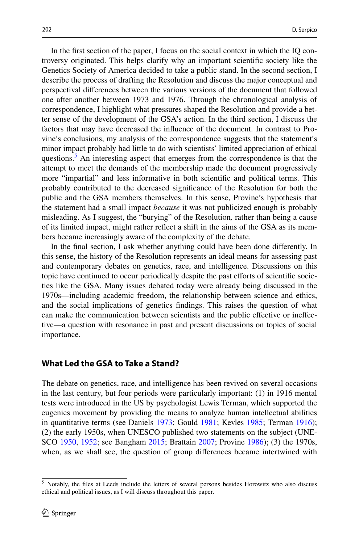In the frst section of the paper, I focus on the social context in which the IQ controversy originated. This helps clarify why an important scientifc society like the Genetics Society of America decided to take a public stand. In the second section, I describe the process of drafting the Resolution and discuss the major conceptual and perspectival diferences between the various versions of the document that followed one after another between 1973 and 1976. Through the chronological analysis of correspondence, I highlight what pressures shaped the Resolution and provide a better sense of the development of the GSA's action. In the third section, I discuss the factors that may have decreased the infuence of the document. In contrast to Provine's conclusions, my analysis of the correspondence suggests that the statement's minor impact probably had little to do with scientists' limited appreciation of ethical questions.<sup>[5](#page-3-0)</sup> An interesting aspect that emerges from the correspondence is that the attempt to meet the demands of the membership made the document progressively more "impartial" and less informative in both scientifc and political terms. This probably contributed to the decreased signifcance of the Resolution for both the public and the GSA members themselves. In this sense, Provine's hypothesis that the statement had a small impact *because* it was not publicized enough is probably misleading. As I suggest, the "burying" of the Resolution*,* rather than being a cause of its limited impact, might rather refect a shift in the aims of the GSA as its members became increasingly aware of the complexity of the debate.

In the fnal section, I ask whether anything could have been done diferently. In this sense, the history of the Resolution represents an ideal means for assessing past and contemporary debates on genetics, race, and intelligence. Discussions on this topic have continued to occur periodically despite the past eforts of scientifc societies like the GSA. Many issues debated today were already being discussed in the 1970s—including academic freedom, the relationship between science and ethics, and the social implications of genetics fndings. This raises the question of what can make the communication between scientists and the public efective or inefective—a question with resonance in past and present discussions on topics of social importance.

#### **What Led the GSA to Take a Stand?**

The debate on genetics, race, and intelligence has been revived on several occasions in the last century, but four periods were particularly important: (1) in 1916 mental tests were introduced in the US by psychologist Lewis Terman, which supported the eugenics movement by providing the means to analyze human intellectual abilities in quantitative terms (see Daniels [1973](#page-27-4); Gould [1981;](#page-27-5) Kevles [1985](#page-28-8); Terman [1916](#page-29-7)); (2) the early 1950s, when UNESCO published two statements on the subject (UNE-SCO [1950](#page-29-3), [1952;](#page-29-4) see Bangham [2015;](#page-26-5) Brattain [2007](#page-27-3); Provine [1986\)](#page-28-6); (3) the 1970s, when, as we shall see, the question of group diferences became intertwined with

<span id="page-3-0"></span><sup>5</sup> Notably, the fles at Leeds include the letters of several persons besides Horowitz who also discuss ethical and political issues, as I will discuss throughout this paper.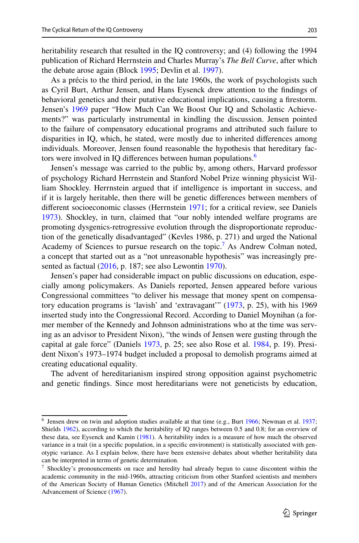heritability research that resulted in the IQ controversy; and (4) following the 1994 publication of Richard Herrnstein and Charles Murray's *The Bell Curve*, after which the debate arose again (Block [1995;](#page-26-6) Devlin et al. [1997\)](#page-27-6).

As a précis to the third period, in the late 1960s, the work of psychologists such as Cyril Burt, Arthur Jensen, and Hans Eysenck drew attention to the fndings of behavioral genetics and their putative educational implications, causing a frestorm. Jensen's [1969](#page-28-0) paper "How Much Can We Boost Our IQ and Scholastic Achievements?" was particularly instrumental in kindling the discussion. Jensen pointed to the failure of compensatory educational programs and attributed such failure to disparities in IQ, which, he stated, were mostly due to inherited diferences among individuals. Moreover, Jensen found reasonable the hypothesis that hereditary fac-tors were involved in IQ differences between human populations.<sup>[6](#page-4-0)</sup>

Jensen's message was carried to the public by, among others, Harvard professor of psychology Richard Herrnstein and Stanford Nobel Prize winning physicist William Shockley. Herrnstein argued that if intelligence is important in success, and if it is largely heritable, then there will be genetic diferences between members of diferent socioeconomic classes (Herrnstein [1971;](#page-27-0) for a critical review, see Daniels [1973](#page-27-4)). Shockley, in turn, claimed that "our nobly intended welfare programs are promoting dysgenics-retrogressive evolution through the disproportionate reproduction of the genetically disadvantaged" (Kevles 1986, p. 271) and urged the National Academy of Sciences to pursue research on the topic.<sup>[7](#page-4-1)</sup> As Andrew Colman noted, a concept that started out as a "not unreasonable hypothesis" was increasingly pre-sented as factual ([2016,](#page-27-7) p. 187; see also Lewontin [1970](#page-28-9)).

Jensen's paper had considerable impact on public discussions on education, especially among policymakers. As Daniels reported, Jensen appeared before various Congressional committees "to deliver his message that money spent on compensatory education programs is 'lavish' and 'extravagant'" [\(1973](#page-27-4), p. 25), with his 1969 inserted study into the Congressional Record. According to Daniel Moynihan (a former member of the Kennedy and Johnson administrations who at the time was serving as an advisor to President Nixon), "the winds of Jensen were gusting through the capital at gale force" (Daniels [1973,](#page-27-4) p. 25; see also Rose et al. [1984,](#page-28-10) p. 19). President Nixon's 1973–1974 budget included a proposal to demolish programs aimed at creating educational equality.

The advent of hereditarianism inspired strong opposition against psychometric and genetic fndings. Since most hereditarians were not geneticists by education,

<span id="page-4-0"></span> $<sup>6</sup>$  Jensen drew on twin and adoption studies available at that time (e.g., Burt [1966](#page-27-8); Newman et al. [1937](#page-28-11);</sup> Shields [1962](#page-29-8)), according to which the heritability of IQ ranges between 0.5 and 0.8; for an overview of these data, see Eysenck and Kamin [\(1981](#page-27-9)). A heritability index is a measure of how much the observed variance in a trait (in a specifc population, in a specifc environment) is statistically associated with genotypic variance. As I explain below, there have been extensive debates about whether heritability data can be interpreted in terms of genetic determination.

<span id="page-4-1"></span> $\frac{7}{1}$  Shockley's pronouncements on race and heredity had already begun to cause discontent within the academic community in the mid-1960s, attracting criticism from other Stanford scientists and members of the American Society of Human Genetics (Mitchell [2017](#page-28-12)) and of the American Association for the Advancement of Science [\(1967](#page-26-2)).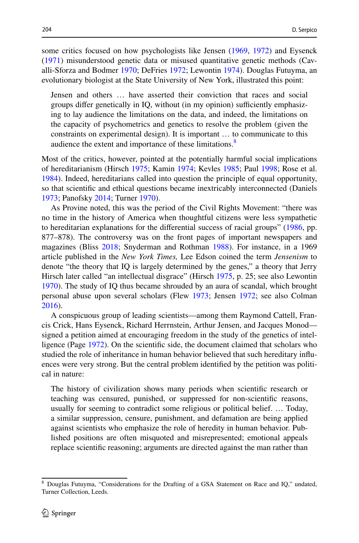some critics focused on how psychologists like Jensen [\(1969](#page-28-0), [1972\)](#page-28-13) and Eysenck [\(1971](#page-27-10)) misunderstood genetic data or misused quantitative genetic methods (Cavalli-Sforza and Bodmer [1970;](#page-27-11) DeFries [1972;](#page-27-12) Lewontin [1974\)](#page-28-14). Douglas Futuyma, an evolutionary biologist at the State University of New York, illustrated this point:

Jensen and others … have asserted their conviction that races and social groups differ genetically in IQ, without (in my opinion) sufficiently emphasizing to lay audience the limitations on the data, and indeed, the limitations on the capacity of psychometrics and genetics to resolve the problem (given the constraints on experimental design). It is important … to communicate to this audience the extent and importance of these limitations.<sup>8</sup>

Most of the critics, however, pointed at the potentially harmful social implications of hereditarianism (Hirsch [1975;](#page-27-13) Kamin [1974](#page-28-15); Kevles [1985](#page-28-8); Paul [1998;](#page-28-16) Rose et al. [1984](#page-28-10)). Indeed, hereditarians called into question the principle of equal opportunity, so that scientifc and ethical questions became inextricably interconnected (Daniels [1973](#page-27-4); Panofsky [2014;](#page-28-17) Turner [1970\)](#page-29-9).

As Provine noted, this was the period of the Civil Rights Movement: "there was no time in the history of America when thoughtful citizens were less sympathetic to hereditarian explanations for the diferential success of racial groups" [\(1986](#page-28-6), pp. 877–878). The controversy was on the front pages of important newspapers and magazines (Bliss [2018;](#page-26-7) Snyderman and Rothman [1988](#page-29-10)). For instance, in a 1969 article published in the *New York Times,* Lee Edson coined the term *Jensenism* to denote "the theory that IQ is largely determined by the genes," a theory that Jerry Hirsch later called "an intellectual disgrace" (Hirsch [1975,](#page-27-13) p. 25; see also Lewontin [1970](#page-28-9)). The study of IQ thus became shrouded by an aura of scandal, which brought personal abuse upon several scholars (Flew [1973;](#page-27-14) Jensen [1972;](#page-28-13) see also Colman [2016](#page-27-7)).

A conspicuous group of leading scientists—among them Raymond Cattell, Francis Crick, Hans Eysenck, Richard Herrnstein, Arthur Jensen, and Jacques Monod signed a petition aimed at encouraging freedom in the study of the genetics of intelligence (Page [1972\)](#page-28-18). On the scientifc side, the document claimed that scholars who studied the role of inheritance in human behavior believed that such hereditary infuences were very strong. But the central problem identifed by the petition was political in nature:

The history of civilization shows many periods when scientifc research or teaching was censured, punished, or suppressed for non-scientifc reasons, usually for seeming to contradict some religious or political belief. … Today, a similar suppression, censure, punishment, and defamation are being applied against scientists who emphasize the role of heredity in human behavior. Published positions are often misquoted and misrepresented; emotional appeals replace scientifc reasoning; arguments are directed against the man rather than

<span id="page-5-0"></span><sup>8</sup> Douglas Futuyma, "Considerations for the Drafting of a GSA Statement on Race and IQ," undated, Turner Collection, Leeds.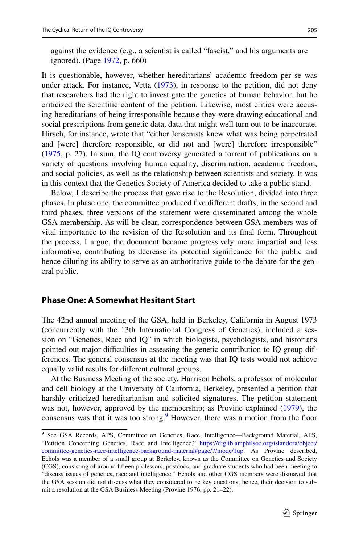against the evidence (e.g., a scientist is called "fascist," and his arguments are ignored). (Page [1972](#page-28-18), p. 660)

It is questionable, however, whether hereditarians' academic freedom per se was under attack. For instance, Vetta [\(1973](#page-29-11)), in response to the petition, did not deny that researchers had the right to investigate the genetics of human behavior, but he criticized the scientifc content of the petition. Likewise, most critics were accusing hereditarians of being irresponsible because they were drawing educational and social prescriptions from genetic data, data that might well turn out to be inaccurate. Hirsch, for instance, wrote that "either Jensenists knew what was being perpetrated and [were] therefore responsible, or did not and [were] therefore irresponsible" [\(1975](#page-27-13), p. 27). In sum, the IQ controversy generated a torrent of publications on a variety of questions involving human equality, discrimination, academic freedom, and social policies, as well as the relationship between scientists and society. It was in this context that the Genetics Society of America decided to take a public stand.

Below, I describe the process that gave rise to the Resolution, divided into three phases. In phase one, the committee produced fve diferent drafts; in the second and third phases, three versions of the statement were disseminated among the whole GSA membership. As will be clear, correspondence between GSA members was of vital importance to the revision of the Resolution and its fnal form. Throughout the process, I argue, the document became progressively more impartial and less informative, contributing to decrease its potential signifcance for the public and hence diluting its ability to serve as an authoritative guide to the debate for the general public.

### **Phase One: A Somewhat Hesitant Start**

The 42nd annual meeting of the GSA, held in Berkeley, California in August 1973 (concurrently with the 13th International Congress of Genetics), included a session on "Genetics, Race and IQ" in which biologists, psychologists, and historians pointed out major difculties in assessing the genetic contribution to IQ group differences. The general consensus at the meeting was that IQ tests would not achieve equally valid results for diferent cultural groups.

At the Business Meeting of the society, Harrison Echols, a professor of molecular and cell biology at the University of California, Berkeley, presented a petition that harshly criticized hereditarianism and solicited signatures. The petition statement was not, however, approved by the membership; as Provine explained ([1979\)](#page-28-7), the consensus was that it was too strong.<sup>9</sup> However, there was a motion from the floor

<span id="page-6-0"></span><sup>&</sup>lt;sup>9</sup> See GSA Records, APS, Committee on Genetics, Race, Intelligence—Background Material, APS, "Petition Concerning Genetics, Race and Intelligence," [https://diglib.amphilsoc.org/islandora/object/](https://diglib.amphilsoc.org/islandora/object/committee-genetics-race-intelligence-background-material#page/7/mode/1up) [committee-genetics-race-intelligence-background-material#page/7/mode/1up](https://diglib.amphilsoc.org/islandora/object/committee-genetics-race-intelligence-background-material#page/7/mode/1up). As Provine described, Echols was a member of a small group at Berkeley, known as the Committee on Genetics and Society (CGS), consisting of around ffteen professors, postdocs, and graduate students who had been meeting to "discuss issues of genetics, race and intelligence." Echols and other CGS members were dismayed that the GSA session did not discuss what they considered to be key questions; hence, their decision to submit a resolution at the GSA Business Meeting (Provine 1976, pp. 21–22).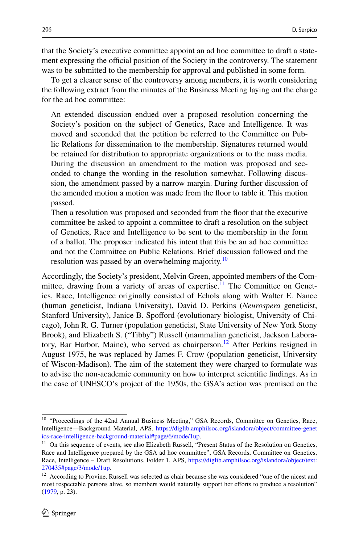that the Society's executive committee appoint an ad hoc committee to draft a statement expressing the official position of the Society in the controversy. The statement was to be submitted to the membership for approval and published in some form.

To get a clearer sense of the controversy among members, it is worth considering the following extract from the minutes of the Business Meeting laying out the charge for the ad hoc committee:

An extended discussion endued over a proposed resolution concerning the Society's position on the subject of Genetics, Race and Intelligence. It was moved and seconded that the petition be referred to the Committee on Public Relations for dissemination to the membership. Signatures returned would be retained for distribution to appropriate organizations or to the mass media. During the discussion an amendment to the motion was proposed and seconded to change the wording in the resolution somewhat. Following discussion, the amendment passed by a narrow margin. During further discussion of the amended motion a motion was made from the foor to table it. This motion passed.

Then a resolution was proposed and seconded from the foor that the executive committee be asked to appoint a committee to draft a resolution on the subject of Genetics, Race and Intelligence to be sent to the membership in the form of a ballot. The proposer indicated his intent that this be an ad hoc committee and not the Committee on Public Relations. Brief discussion followed and the resolution was passed by an overwhelming majority.<sup>[10](#page-7-0)</sup>

Accordingly, the Society's president, Melvin Green, appointed members of the Committee, drawing from a variety of areas of expertise.<sup>11</sup> The Committee on Genetics, Race, Intelligence originally consisted of Echols along with Walter E. Nance (human geneticist, Indiana University), David D. Perkins (*Neurospera* geneticist, Stanford University), Janice B. Spofford (evolutionary biologist, University of Chicago), John R. G. Turner (population geneticist, State University of New York Stony Brook), and Elizabeth S. ("Tibby") Russell (mammalian geneticist, Jackson Laboratory, Bar Harbor, Maine), who served as chairperson.<sup>12</sup> After Perkins resigned in August 1975, he was replaced by James F. Crow (population geneticist, University of Wiscon-Madison). The aim of the statement they were charged to formulate was to advise the non-academic community on how to interpret scientifc fndings. As in the case of UNESCO's project of the 1950s, the GSA's action was premised on the

<span id="page-7-0"></span><sup>&</sup>lt;sup>10</sup> "Proceedings of the 42nd Annual Business Meeting," GSA Records, Committee on Genetics, Race, Intelligence—Background Material, APS, [https://diglib.amphilsoc.org/islandora/object/committee-genet](https://diglib.amphilsoc.org/islandora/object/committee-genetics-race-intelligence-background-material#page/6/mode/1up) [ics-race-intelligence-background-material#page/6/mode/1up](https://diglib.amphilsoc.org/islandora/object/committee-genetics-race-intelligence-background-material#page/6/mode/1up).

<span id="page-7-1"></span><sup>&</sup>lt;sup>11</sup> On this sequence of events, see also Elizabeth Russell, "Present Status of the Resolution on Genetics, Race and Intelligence prepared by the GSA ad hoc committee", GSA Records, Committee on Genetics, Race, Intelligence – Draft Resolutions, Folder 1, APS, [https://diglib.amphilsoc.org/islandora/object/text:](https://diglib.amphilsoc.org/islandora/object/text:270435#page/3/mode/1up) [270435#page/3/mode/1up](https://diglib.amphilsoc.org/islandora/object/text:270435#page/3/mode/1up).

<span id="page-7-2"></span><sup>12</sup> According to Provine, Russell was selected as chair because she was considered "one of the nicest and most respectable persons alive, so members would naturally support her efforts to produce a resolution" ([1979,](#page-28-7) p. 23).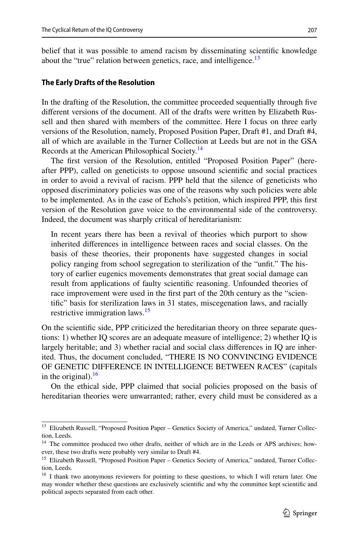belief that it was possible to amend racism by disseminating scientifc knowledge about the "true" relation between genetics, race, and intelligence.<sup>13</sup>

#### **The Early Drafts of the Resolution**

In the drafting of the Resolution, the committee proceeded sequentially through fve diferent versions of the document. All of the drafts were written by Elizabeth Russell and then shared with members of the committee. Here I focus on three early versions of the Resolution, namely, Proposed Position Paper, Draft #1, and Draft #4, all of which are available in the Turner Collection at Leeds but are not in the GSA Records at the American Philosophical Society.<sup>14</sup>

The frst version of the Resolution, entitled "Proposed Position Paper" (hereafter PPP), called on geneticists to oppose unsound scientifc and social practices in order to avoid a revival of racism. PPP held that the silence of geneticists who opposed discriminatory policies was one of the reasons why such policies were able to be implemented. As in the case of Echols's petition, which inspired PPP, this frst version of the Resolution gave voice to the environmental side of the controversy. Indeed, the document was sharply critical of hereditarianism:

In recent years there has been a revival of theories which purport to show inherited diferences in intelligence between races and social classes. On the basis of these theories, their proponents have suggested changes in social policy ranging from school segregation to sterilization of the "unft." The history of earlier eugenics movements demonstrates that great social damage can result from applications of faulty scientifc reasoning. Unfounded theories of race improvement were used in the frst part of the 20th century as the "scientifc" basis for sterilization laws in 31 states, miscegenation laws, and racially restrictive immigration laws.<sup>15</sup>

On the scientifc side, PPP criticized the hereditarian theory on three separate questions: 1) whether IQ scores are an adequate measure of intelligence; 2) whether IQ is largely heritable; and 3) whether racial and social class diferences in IQ are inherited. Thus, the document concluded, "THERE IS NO CONVINCING EVIDENCE OF GENETIC DIFFERENCE IN INTELLIGENCE BETWEEN RACES" (capitals in the original). $^{16}$ 

On the ethical side, PPP claimed that social policies proposed on the basis of hereditarian theories were unwarranted; rather, every child must be considered as a

<span id="page-8-0"></span><sup>&</sup>lt;sup>13</sup> Elizabeth Russell, "Proposed Position Paper – Genetics Society of America," undated, Turner Collection, Leeds.

<span id="page-8-1"></span><sup>&</sup>lt;sup>14</sup> The committee produced two other drafts, neither of which are in the Leeds or APS archives; however, these two drafts were probably very similar to Draft #4.

<span id="page-8-2"></span><sup>&</sup>lt;sup>15</sup> Elizabeth Russell, "Proposed Position Paper – Genetics Society of America," undated, Turner Collection, Leeds.

<span id="page-8-3"></span><sup>&</sup>lt;sup>16</sup> I thank two anonymous reviewers for pointing to these questions, to which I will return later. One may wonder whether these questions are exclusively scientifc and why the committee kept scientifc and political aspects separated from each other.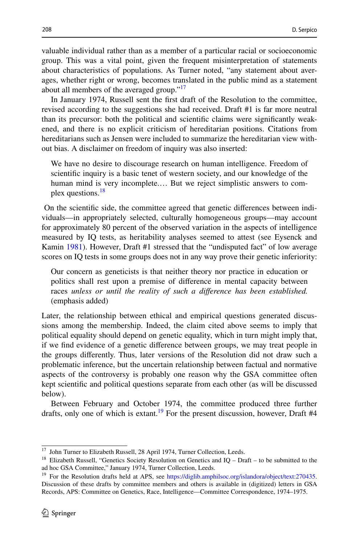valuable individual rather than as a member of a particular racial or socioeconomic group. This was a vital point, given the frequent misinterpretation of statements about characteristics of populations. As Turner noted, "any statement about averages, whether right or wrong, becomes translated in the public mind as a statement about all members of the averaged group."<sup>[17](#page-9-0)</sup>

In January 1974, Russell sent the frst draft of the Resolution to the committee, revised according to the suggestions she had received. Draft #1 is far more neutral than its precursor: both the political and scientifc claims were signifcantly weakened, and there is no explicit criticism of hereditarian positions. Citations from hereditarians such as Jensen were included to summarize the hereditarian view without bias. A disclaimer on freedom of inquiry was also inserted:

We have no desire to discourage research on human intelligence. Freedom of scientifc inquiry is a basic tenet of western society, and our knowledge of the human mind is very incomplete.… But we reject simplistic answers to com-plex questions.<sup>[18](#page-9-1)</sup>

 On the scientifc side, the committee agreed that genetic diferences between individuals—in appropriately selected, culturally homogeneous groups—may account for approximately 80 percent of the observed variation in the aspects of intelligence measured by IQ tests, as heritability analyses seemed to attest (see Eysenck and Kamin [1981](#page-27-9)). However, Draft #1 stressed that the "undisputed fact" of low average scores on IQ tests in some groups does not in any way prove their genetic inferiority:

Our concern as geneticists is that neither theory nor practice in education or politics shall rest upon a premise of diference in mental capacity between races *unless or until the reality of such a diference has been established.* (emphasis added)

Later, the relationship between ethical and empirical questions generated discussions among the membership. Indeed, the claim cited above seems to imply that political equality should depend on genetic equality, which in turn might imply that, if we fnd evidence of a genetic diference between groups, we may treat people in the groups diferently. Thus, later versions of the Resolution did not draw such a problematic inference, but the uncertain relationship between factual and normative aspects of the controversy is probably one reason why the GSA committee often kept scientifc and political questions separate from each other (as will be discussed below).

Between February and October 1974, the committee produced three further drafts, only one of which is extant.<sup>19</sup> For the present discussion, however, Draft #4

<span id="page-9-0"></span><sup>&</sup>lt;sup>17</sup> John Turner to Elizabeth Russell, 28 April 1974, Turner Collection, Leeds.

<span id="page-9-1"></span><sup>&</sup>lt;sup>18</sup> Elizabeth Russell, "Genetics Society Resolution on Genetics and IQ – Draft – to be submitted to the ad hoc GSA Committee," January 1974, Turner Collection, Leeds.

<span id="page-9-2"></span><sup>&</sup>lt;sup>19</sup> For the Resolution drafts held at APS, see <https://diglib.amphilsoc.org/islandora/object/text:270435>. Discussion of these drafts by committee members and others is available in (digitized) letters in GSA Records, APS: Committee on Genetics, Race, Intelligence—Committee Correspondence, 1974–1975.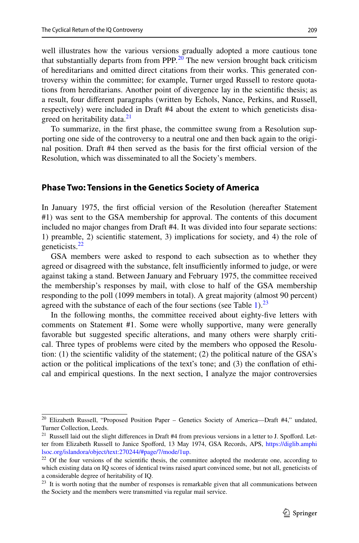well illustrates how the various versions gradually adopted a more cautious tone that substantially departs from from PPP*.* [20](#page-10-0) The new version brought back criticism of hereditarians and omitted direct citations from their works. This generated controversy within the committee; for example, Turner urged Russell to restore quotations from hereditarians. Another point of divergence lay in the scientifc thesis; as a result, four diferent paragraphs (written by Echols, Nance, Perkins, and Russell, respectively) were included in Draft #4 about the extent to which geneticists disa-greed on heritability data.<sup>[21](#page-10-1)</sup>

To summarize, in the frst phase, the committee swung from a Resolution supporting one side of the controversy to a neutral one and then back again to the original position. Draft #4 then served as the basis for the first official version of the Resolution, which was disseminated to all the Society's members.

#### **Phase Two: Tensions in the Genetics Society of America**

In January 1975, the first official version of the Resolution (hereafter Statement #1) was sent to the GSA membership for approval. The contents of this document included no major changes from Draft #4. It was divided into four separate sections: 1) preamble, 2) scientifc statement, 3) implications for society, and 4) the role of geneticists. $^{22}$ 

GSA members were asked to respond to each subsection as to whether they agreed or disagreed with the substance, felt insufficiently informed to judge, or were against taking a stand. Between January and February 1975, the committee received the membership's responses by mail, with close to half of the GSA membership responding to the poll (1099 members in total). A great majority (almost 90 percent) agreed with the substance of each of the four sections (see Table  $1$ ).<sup>[23](#page-10-3)</sup>

In the following months, the committee received about eighty-fve letters with comments on Statement #1. Some were wholly supportive, many were generally favorable but suggested specifc alterations, and many others were sharply critical. Three types of problems were cited by the members who opposed the Resolution: (1) the scientific validity of the statement; (2) the political nature of the GSA's action or the political implications of the text's tone; and (3) the confation of ethical and empirical questions. In the next section, I analyze the major controversies

<span id="page-10-0"></span><sup>&</sup>lt;sup>20</sup> Elizabeth Russell, "Proposed Position Paper – Genetics Society of America---Draft #4," undated, Turner Collection, Leeds.

<span id="page-10-1"></span><sup>&</sup>lt;sup>21</sup> Russell laid out the slight differences in Draft #4 from previous versions in a letter to J. Spofford. Letter from Elizabeth Russell to Janice Spoford, 13 May 1974, GSA Records, APS, [https://diglib.amphi](https://diglib.amphilsoc.org/islandora/object/text:270244/#page/7/mode/1up) [lsoc.org/islandora/object/text:270244/#page/7/mode/1up.](https://diglib.amphilsoc.org/islandora/object/text:270244/#page/7/mode/1up)

<span id="page-10-2"></span><sup>&</sup>lt;sup>22</sup> Of the four versions of the scientific thesis, the committee adopted the moderate one, according to which existing data on IQ scores of identical twins raised apart convinced some, but not all, geneticists of a considerable degree of heritability of IQ.

<span id="page-10-3"></span> $2<sup>3</sup>$  It is worth noting that the number of responses is remarkable given that all communications between the Society and the members were transmitted via regular mail service.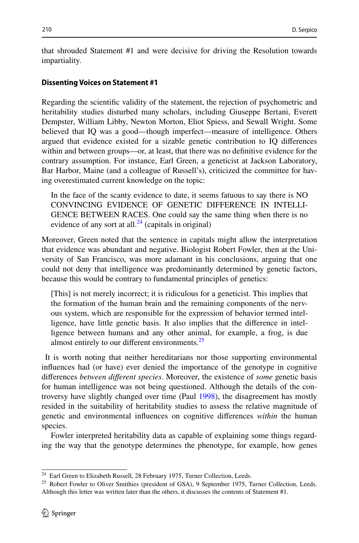that shrouded Statement #1 and were decisive for driving the Resolution towards impartiality.

#### **Dissenting Voices on Statement #1**

Regarding the scientifc validity of the statement, the rejection of psychometric and heritability studies disturbed many scholars, including Giuseppe Bertani, Everett Dempster, William Libby, Newton Morton, Eliot Spiess, and Sewall Wright. Some believed that IQ was a good—though imperfect—measure of intelligence. Others argued that evidence existed for a sizable genetic contribution to IQ diferences within and between groups—or, at least, that there was no defnitive evidence for the contrary assumption. For instance, Earl Green, a geneticist at Jackson Laboratory, Bar Harbor, Maine (and a colleague of Russell's), criticized the committee for having overestimated current knowledge on the topic:

In the face of the scanty evidence to date, it seems fatuous to say there is NO CONVINCING EVIDENCE OF GENETIC DIFFERENCE IN INTELLI-GENCE BETWEEN RACES. One could say the same thing when there is no evidence of any sort at all. $^{24}$  (capitals in original)

Moreover, Green noted that the sentence in capitals might allow the interpretation that evidence was abundant and negative. Biologist Robert Fowler, then at the University of San Francisco, was more adamant in his conclusions, arguing that one could not deny that intelligence was predominantly determined by genetic factors, because this would be contrary to fundamental principles of genetics:

[This] is not merely incorrect; it is ridiculous for a geneticist. This implies that the formation of the human brain and the remaining components of the nervous system, which are responsible for the expression of behavior termed intelligence, have little genetic basis. It also implies that the diference in intelligence between humans and any other animal, for example, a frog, is due almost entirely to our different environments.<sup>[25](#page-11-1)</sup>

 It is worth noting that neither hereditarians nor those supporting environmental infuences had (or have) ever denied the importance of the genotype in cognitive diferences *between diferent species*. Moreover, the existence of *some* genetic basis for human intelligence was not being questioned. Although the details of the controversy have slightly changed over time (Paul [1998](#page-28-16)), the disagreement has mostly resided in the suitability of heritability studies to assess the relative magnitude of genetic and environmental infuences on cognitive diferences *within* the human species.

Fowler interpreted heritability data as capable of explaining some things regarding the way that the genotype determines the phenotype, for example, how genes

<span id="page-11-0"></span><sup>&</sup>lt;sup>24</sup> Earl Green to Elizabeth Russell, 28 February 1975, Turner Collection, Leeds.

<span id="page-11-1"></span><sup>&</sup>lt;sup>25</sup> Robert Fowler to Oliver Smithies (president of GSA), 9 September 1975, Turner Collection, Leeds. Although this letter was written later than the others, it discusses the contents of Statement #1.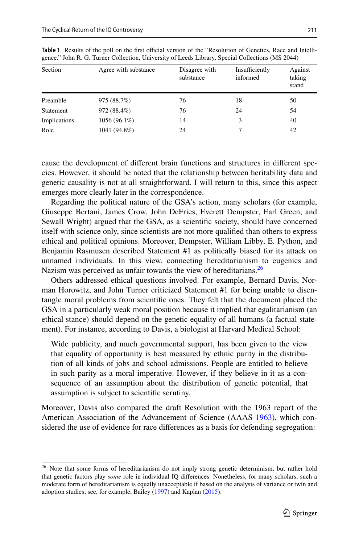| Section      | Agree with substance | Disagree with<br>substance | Insufficiently<br>informed | Against<br>taking<br>stand |
|--------------|----------------------|----------------------------|----------------------------|----------------------------|
| Preamble     | 975 (88.7%)          | 76                         | 18                         | 50                         |
| Statement    | 972 (88.4%)          | 76                         | 24                         | 54                         |
| Implications | $1056(96.1\%)$       | 14                         | 3                          | 40                         |
| Role         | 1041 (94.8%)         | 24                         | 7                          | 42                         |

<span id="page-12-0"></span>**Table 1** Results of the poll on the first official version of the "Resolution of Genetics, Race and Intelligence." John R. G. Turner Collection, University of Leeds Library, Special Collections (MS 2044)

cause the development of diferent brain functions and structures in diferent species. However, it should be noted that the relationship between heritability data and genetic causality is not at all straightforward. I will return to this, since this aspect emerges more clearly later in the correspondence.

Regarding the political nature of the GSA's action, many scholars (for example, Giuseppe Bertani, James Crow, John DeFries, Everett Dempster, Earl Green, and Sewall Wright) argued that the GSA, as a scientifc society, should have concerned itself with science only, since scientists are not more qualifed than others to express ethical and political opinions. Moreover, Dempster, William Libby, E. Python, and Benjamin Rasmusen described Statement #1 as politically biased for its attack on unnamed individuals. In this view, connecting hereditarianism to eugenics and Nazism was perceived as unfair towards the view of hereditarians.<sup>26</sup>

Others addressed ethical questions involved. For example, Bernard Davis, Norman Horowitz, and John Turner criticized Statement #1 for being unable to disentangle moral problems from scientifc ones. They felt that the document placed the GSA in a particularly weak moral position because it implied that egalitarianism (an ethical stance) should depend on the genetic equality of all humans (a factual statement). For instance, according to Davis, a biologist at Harvard Medical School:

Wide publicity, and much governmental support, has been given to the view that equality of opportunity is best measured by ethnic parity in the distribution of all kinds of jobs and school admissions. People are entitled to believe in such parity as a moral imperative. However, if they believe in it as a consequence of an assumption about the distribution of genetic potential, that assumption is subject to scientifc scrutiny.

Moreover, Davis also compared the draft Resolution with the 1963 report of the American Association of the Advancement of Science (AAAS [1963](#page-26-1)), which considered the use of evidence for race diferences as a basis for defending segregation:

<span id="page-12-1"></span><sup>&</sup>lt;sup>26</sup> Note that some forms of hereditarianism do not imply strong genetic determinism, but rather hold that genetic factors play *some* role in individual IQ diferences. Nonetheless, for many scholars, such a moderate form of hereditarianism is equally unacceptable if based on the analysis of variance or twin and adoption studies; see, for example, Bailey ([1997\)](#page-26-8) and Kaplan ([2015\)](#page-28-19).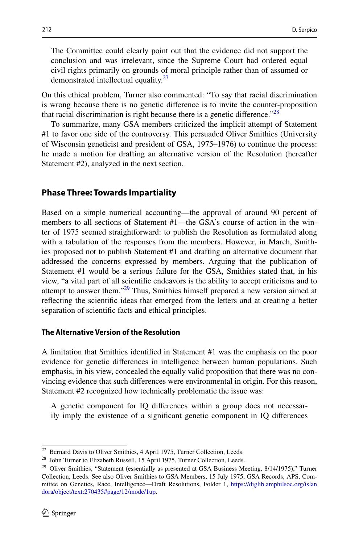The Committee could clearly point out that the evidence did not support the conclusion and was irrelevant, since the Supreme Court had ordered equal civil rights primarily on grounds of moral principle rather than of assumed or demonstrated intellectual equality.<sup>27</sup>

On this ethical problem, Turner also commented: "To say that racial discrimination is wrong because there is no genetic diference is to invite the counter-proposition that racial discrimination is right because there is a genetic difference.<sup> $28$ </sup>

To summarize, many GSA members criticized the implicit attempt of Statement #1 to favor one side of the controversy. This persuaded Oliver Smithies (University of Wisconsin geneticist and president of GSA, 1975–1976) to continue the process: he made a motion for drafting an alternative version of the Resolution (hereafter Statement #2), analyzed in the next section.

#### **Phase Three: Towards Impartiality**

Based on a simple numerical accounting—the approval of around 90 percent of members to all sections of Statement #1—the GSA's course of action in the winter of 1975 seemed straightforward: to publish the Resolution as formulated along with a tabulation of the responses from the members. However, in March, Smithies proposed not to publish Statement #1 and drafting an alternative document that addressed the concerns expressed by members. Arguing that the publication of Statement #1 would be a serious failure for the GSA, Smithies stated that, in his view, "a vital part of all scientifc endeavors is the ability to accept criticisms and to attempt to answer them." $29$  Thus, Smithies himself prepared a new version aimed at refecting the scientifc ideas that emerged from the letters and at creating a better separation of scientifc facts and ethical principles.

#### **The Alternative Version of the Resolution**

A limitation that Smithies identifed in Statement #1 was the emphasis on the poor evidence for genetic diferences in intelligence between human populations. Such emphasis, in his view, concealed the equally valid proposition that there was no convincing evidence that such diferences were environmental in origin. For this reason, Statement #2 recognized how technically problematic the issue was:

A genetic component for IQ diferences within a group does not necessarily imply the existence of a signifcant genetic component in IQ diferences

<span id="page-13-0"></span><sup>&</sup>lt;sup>27</sup> Bernard Davis to Oliver Smithies, 4 April 1975, Turner Collection, Leeds.

<span id="page-13-1"></span><sup>&</sup>lt;sup>28</sup> John Turner to Elizabeth Russell, 15 April 1975, Turner Collection, Leeds.

<span id="page-13-2"></span><sup>&</sup>lt;sup>29</sup> Oliver Smithies, "Statement (essentially as presented at GSA Business Meeting, 8/14/1975)," Turner Collection, Leeds. See also Oliver Smithies to GSA Members, 15 July 1975, GSA Records, APS, Committee on Genetics, Race, Intelligence—Draft Resolutions, Folder 1, [https://diglib.amphilsoc.org/islan](https://diglib.amphilsoc.org/islandora/object/text:270435#page/12/mode/1up) [dora/object/text:270435#page/12/mode/1up.](https://diglib.amphilsoc.org/islandora/object/text:270435#page/12/mode/1up)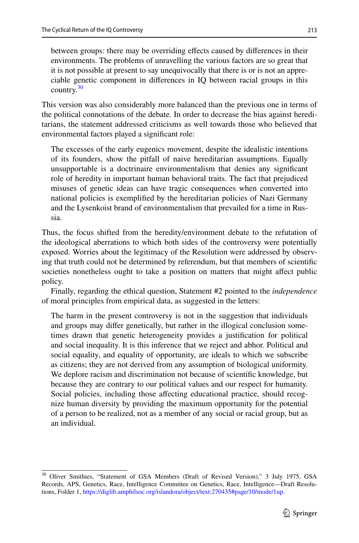between groups: there may be overriding efects caused by diferences in their environments. The problems of unravelling the various factors are so great that it is not possible at present to say unequivocally that there is or is not an appreciable genetic component in diferences in IQ between racial groups in this country. $30$ 

This version was also considerably more balanced than the previous one in terms of the political connotations of the debate. In order to decrease the bias against hereditarians, the statement addressed criticisms as well towards those who believed that environmental factors played a signifcant role:

The excesses of the early eugenics movement, despite the idealistic intentions of its founders, show the pitfall of naive hereditarian assumptions. Equally unsupportable is a doctrinaire environmentalism that denies any signifcant role of heredity in important human behavioral traits. The fact that prejudiced misuses of genetic ideas can have tragic consequences when converted into national policies is exemplifed by the hereditarian policies of Nazi Germany and the Lysenkoist brand of environmentalism that prevailed for a time in Russia.

Thus, the focus shifted from the heredity/environment debate to the refutation of the ideological aberrations to which both sides of the controversy were potentially exposed. Worries about the legitimacy of the Resolution were addressed by observing that truth could not be determined by referendum, but that members of scientifc societies nonetheless ought to take a position on matters that might affect public policy.

Finally, regarding the ethical question, Statement #2 pointed to the *independence* of moral principles from empirical data, as suggested in the letters:

The harm in the present controversy is not in the suggestion that individuals and groups may difer genetically, but rather in the illogical conclusion sometimes drawn that genetic heterogeneity provides a justifcation for political and social inequality. It is this inference that we reject and abhor. Political and social equality, and equality of opportunity, are ideals to which we subscribe as citizens; they are not derived from any assumption of biological uniformity. We deplore racism and discrimination not because of scientifc knowledge, but because they are contrary to our political values and our respect for humanity. Social policies, including those afecting educational practice, should recognize human diversity by providing the maximum opportunity for the potential of a person to be realized, not as a member of any social or racial group, but as an individual.

<span id="page-14-0"></span><sup>30</sup> Oliver Smithies, "Statement of GSA Members (Draft of Revised Version)," 3 July 1975, GSA Records, APS, Genetics, Race, Intelligence Committee on Genetics, Race, Intelligence—Draft Resolutions, Folder 1, [https://diglib.amphilsoc.org/islandora/object/text:270435#page/10/mode/1up.](https://diglib.amphilsoc.org/islandora/object/text:270435#page/10/mode/1up)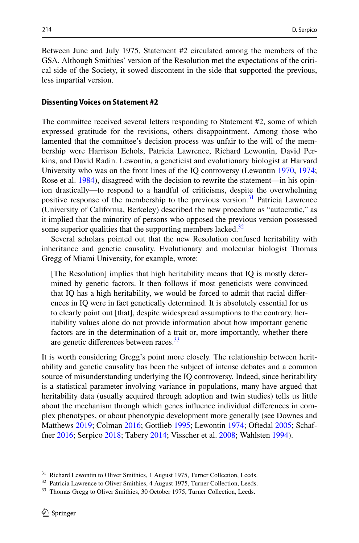Between June and July 1975, Statement #2 circulated among the members of the GSA. Although Smithies' version of the Resolution met the expectations of the critical side of the Society, it sowed discontent in the side that supported the previous, less impartial version.

#### **Dissenting Voices on Statement #2**

The committee received several letters responding to Statement #2, some of which expressed gratitude for the revisions, others disappointment. Among those who lamented that the committee's decision process was unfair to the will of the membership were Harrison Echols, Patricia Lawrence, Richard Lewontin, David Perkins, and David Radin. Lewontin, a geneticist and evolutionary biologist at Harvard University who was on the front lines of the IQ controversy (Lewontin [1970](#page-28-9), [1974;](#page-28-14) Rose et al. [1984\)](#page-28-10), disagreed with the decision to rewrite the statement—in his opinion drastically—to respond to a handful of criticisms, despite the overwhelming positive response of the membership to the previous version.<sup>31</sup> Patricia Lawrence (University of California, Berkeley) described the new procedure as "autocratic," as it implied that the minority of persons who opposed the previous version possessed some superior qualities that the supporting members lacked. $32$ 

Several scholars pointed out that the new Resolution confused heritability with inheritance and genetic causality. Evolutionary and molecular biologist Thomas Gregg of Miami University, for example, wrote:

[The Resolution] implies that high heritability means that IQ is mostly determined by genetic factors. It then follows if most geneticists were convinced that IQ has a high heritability, we would be forced to admit that racial diferences in IQ were in fact genetically determined. It is absolutely essential for us to clearly point out [that], despite widespread assumptions to the contrary, heritability values alone do not provide information about how important genetic factors are in the determination of a trait or, more importantly, whether there are genetic differences between races.<sup>33</sup>

It is worth considering Gregg's point more closely. The relationship between heritability and genetic causality has been the subject of intense debates and a common source of misunderstanding underlying the IQ controversy. Indeed, since heritability is a statistical parameter involving variance in populations, many have argued that heritability data (usually acquired through adoption and twin studies) tells us little about the mechanism through which genes infuence individual diferences in complex phenotypes, or about phenotypic development more generally (see Downes and Matthews [2019;](#page-27-15) Colman [2016](#page-27-7); Gottlieb [1995](#page-27-16); Lewontin [1974;](#page-28-14) Oftedal [2005](#page-28-20); Schaffner [2016;](#page-29-12) Serpico [2018](#page-29-13); Tabery [2014](#page-29-14); Visscher et al. [2008](#page-29-15); Wahlsten [1994](#page-29-16)).

<span id="page-15-0"></span><sup>&</sup>lt;sup>31</sup> Richard Lewontin to Oliver Smithies, 1 August 1975, Turner Collection, Leeds.

<span id="page-15-1"></span><sup>&</sup>lt;sup>32</sup> Patricia Lawrence to Oliver Smithies, 4 August 1975, Turner Collection, Leeds.

<span id="page-15-2"></span><sup>&</sup>lt;sup>33</sup> Thomas Gregg to Oliver Smithies, 30 October 1975, Turner Collection, Leeds.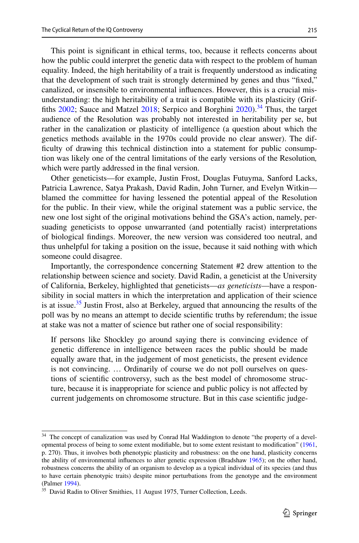This point is signifcant in ethical terms, too, because it refects concerns about how the public could interpret the genetic data with respect to the problem of human equality. Indeed, the high heritability of a trait is frequently understood as indicating that the development of such trait is strongly determined by genes and thus "fxed," canalized, or insensible to environmental infuences. However, this is a crucial misunderstanding: the high heritability of a trait is compatible with its plasticity (Griffiths  $2002$ ; Sauce and Matzel  $2018$ ; Serpico and Borghini  $2020$ ).<sup>34</sup> Thus, the target audience of the Resolution was probably not interested in heritability per se, but rather in the canalization or plasticity of intelligence (a question about which the genetics methods available in the 1970s could provide no clear answer). The difficulty of drawing this technical distinction into a statement for public consumption was likely one of the central limitations of the early versions of the Resolution*,* which were partly addressed in the final version.

Other geneticists—for example, Justin Frost, Douglas Futuyma, Sanford Lacks, Patricia Lawrence, Satya Prakash, David Radin, John Turner, and Evelyn Witkin blamed the committee for having lessened the potential appeal of the Resolution for the public. In their view, while the original statement was a public service, the new one lost sight of the original motivations behind the GSA's action, namely, persuading geneticists to oppose unwarranted (and potentially racist) interpretations of biological fndings. Moreover, the new version was considered too neutral, and thus unhelpful for taking a position on the issue, because it said nothing with which someone could disagree.

Importantly, the correspondence concerning Statement #2 drew attention to the relationship between science and society. David Radin, a geneticist at the University of California, Berkeley, highlighted that geneticists—*as geneticists*—have a responsibility in social matters in which the interpretation and application of their science is at issue.<sup>35</sup> Justin Frost, also at Berkeley, argued that announcing the results of the poll was by no means an attempt to decide scientifc truths by referendum; the issue at stake was not a matter of science but rather one of social responsibility:

If persons like Shockley go around saying there is convincing evidence of genetic diference in intelligence between races the public should be made equally aware that, in the judgement of most geneticists, the present evidence is not convincing. … Ordinarily of course we do not poll ourselves on questions of scientifc controversy, such as the best model of chromosome structure, because it is inappropriate for science and public policy is not afected by current judgements on chromosome structure. But in this case scientifc judge-

<span id="page-16-0"></span><sup>&</sup>lt;sup>34</sup> The concept of canalization was used by Conrad Hal Waddington to denote "the property of a developmental process of being to some extent modifable, but to some extent resistant to modifcation" [\(1961](#page-29-19), p. 270). Thus, it involves both phenotypic plasticity and robustness: on the one hand, plasticity concerns the ability of environmental infuences to alter genetic expression (Bradshaw [1965\)](#page-27-18); on the other hand, robustness concerns the ability of an organism to develop as a typical individual of its species (and thus to have certain phenotypic traits) despite minor perturbations from the genotype and the environment (Palmer [1994](#page-28-21)).

<span id="page-16-1"></span><sup>&</sup>lt;sup>35</sup> David Radin to Oliver Smithies, 11 August 1975, Turner Collection, Leeds.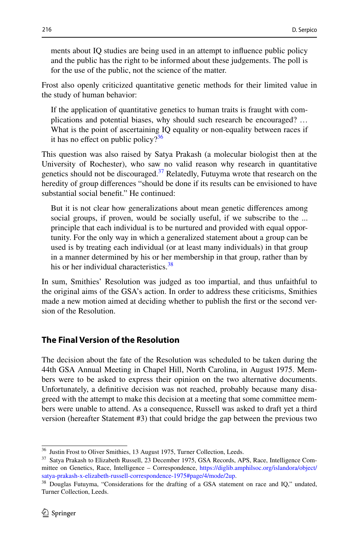ments about IQ studies are being used in an attempt to infuence public policy and the public has the right to be informed about these judgements. The poll is for the use of the public, not the science of the matter.

Frost also openly criticized quantitative genetic methods for their limited value in the study of human behavior:

If the application of quantitative genetics to human traits is fraught with complications and potential biases, why should such research be encouraged? … What is the point of ascertaining IQ equality or non-equality between races if it has no effect on public policy? $36$ 

This question was also raised by Satya Prakash (a molecular biologist then at the University of Rochester), who saw no valid reason why research in quantitative genetics should not be discouraged. $37$  Relatedly, Futuyma wrote that research on the heredity of group diferences "should be done if its results can be envisioned to have substantial social beneft." He continued:

But it is not clear how generalizations about mean genetic diferences among social groups, if proven, would be socially useful, if we subscribe to the ... principle that each individual is to be nurtured and provided with equal opportunity. For the only way in which a generalized statement about a group can be used is by treating each individual (or at least many individuals) in that group in a manner determined by his or her membership in that group, rather than by his or her individual characteristics.<sup>38</sup>

In sum, Smithies' Resolution was judged as too impartial, and thus unfaithful to the original aims of the GSA's action. In order to address these criticisms, Smithies made a new motion aimed at deciding whether to publish the frst or the second version of the Resolution.

## **The Final Version of the Resolution**

The decision about the fate of the Resolution was scheduled to be taken during the 44th GSA Annual Meeting in Chapel Hill, North Carolina, in August 1975. Members were to be asked to express their opinion on the two alternative documents. Unfortunately, a defnitive decision was not reached, probably because many disagreed with the attempt to make this decision at a meeting that some committee members were unable to attend. As a consequence, Russell was asked to draft yet a third version (hereafter Statement #3) that could bridge the gap between the previous two

<span id="page-17-0"></span><sup>36</sup> Justin Frost to Oliver Smithies, 13 August 1975, Turner Collection, Leeds.

<span id="page-17-1"></span><sup>37</sup> Satya Prakash to Elizabeth Russell, 23 December 1975, GSA Records, APS, Race, Intelligence Committee on Genetics, Race, Intelligence – Correspondence, [https://diglib.amphilsoc.org/islandora/object/](https://diglib.amphilsoc.org/islandora/object/satya-prakash-x-elizabeth-russell-correspondence-1975#page/4/mode/2up) [satya-prakash-x-elizabeth-russell-correspondence-1975#page/4/mode/2up.](https://diglib.amphilsoc.org/islandora/object/satya-prakash-x-elizabeth-russell-correspondence-1975#page/4/mode/2up)

<span id="page-17-2"></span><sup>&</sup>lt;sup>38</sup> Douglas Futuyma, "Considerations for the drafting of a GSA statement on race and IQ," undated, Turner Collection, Leeds.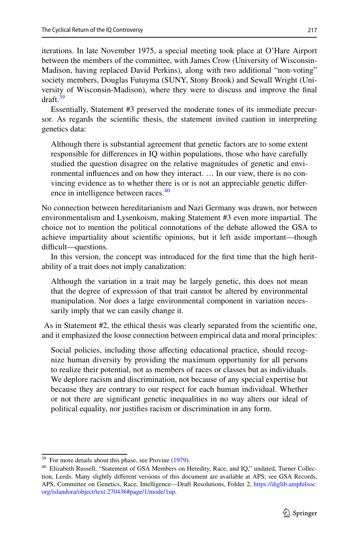iterations. In late November 1975, a special meeting took place at O'Hare Airport between the members of the committee, with James Crow (University of Wisconsin-Madison, having replaced David Perkins), along with two additional "non-voting" society members, Douglas Futuyma (SUNY, Stony Brook) and Sewall Wright (University of Wisconsin-Madison), where they were to discuss and improve the fnal draft.<sup>39</sup>

Essentially, Statement #3 preserved the moderate tones of its immediate precursor. As regards the scientifc thesis, the statement invited caution in interpreting genetics data:

Although there is substantial agreement that genetic factors are to some extent responsible for diferences in IQ within populations, those who have carefully studied the question disagree on the relative magnitudes of genetic and environmental infuences and on how they interact. … In our view, there is no convincing evidence as to whether there is or is not an appreciable genetic diference in intelligence between races.<sup>40</sup>

No connection between hereditarianism and Nazi Germany was drawn, nor between environmentalism and Lysenkoism, making Statement #3 even more impartial. The choice not to mention the political connotations of the debate allowed the GSA to achieve impartiality about scientifc opinions, but it left aside important—though difficult—questions.

In this version, the concept was introduced for the frst time that the high heritability of a trait does not imply canalization:

Although the variation in a trait may be largely genetic, this does not mean that the degree of expression of that trait cannot be altered by environmental manipulation. Nor does a large environmental component in variation necessarily imply that we can easily change it.

 As in Statement #2, the ethical thesis was clearly separated from the scientifc one, and it emphasized the loose connection between empirical data and moral principles:

Social policies, including those afecting educational practice, should recognize human diversity by providing the maximum opportunity for all persons to realize their potential, not as members of races or classes but as individuals. We deplore racism and discrimination, not because of any special expertise but because they are contrary to our respect for each human individual. Whether or not there are signifcant genetic inequalities in no way alters our ideal of political equality, nor justifes racism or discrimination in any form.

<span id="page-18-0"></span><sup>&</sup>lt;sup>39</sup> For more details about this phase, see Provine [\(1979](#page-28-7)).

<span id="page-18-1"></span><sup>&</sup>lt;sup>40</sup> Elizabeth Russell, "Statement of GSA Members on Heredity, Race, and IQ," undated, Turner Collection, Leeds. Many slightly diferent versions of this document are available at APS; see GSA Records, APS, Committee on Genetics, Race, Intelligence—Draft Resolutions, Folder 2, [https://diglib.amphilsoc.](https://diglib.amphilsoc.org/islandora/object/text:270436#page/1/mode/1up) [org/islandora/object/text:270436#page/1/mode/1up.](https://diglib.amphilsoc.org/islandora/object/text:270436#page/1/mode/1up)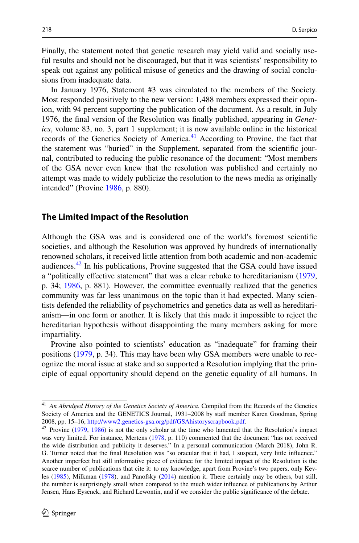Finally, the statement noted that genetic research may yield valid and socially useful results and should not be discouraged, but that it was scientists' responsibility to speak out against any political misuse of genetics and the drawing of social conclusions from inadequate data.

In January 1976, Statement #3 was circulated to the members of the Society. Most responded positively to the new version: 1,488 members expressed their opinion, with 94 percent supporting the publication of the document. As a result, in July 1976, the fnal version of the Resolution was fnally published, appearing in *Genetics*, volume 83, no. 3, part 1 supplement; it is now available online in the historical records of the Genetics Society of America.<sup>41</sup> According to Provine, the fact that the statement was "buried" in the Supplement, separated from the scientifc journal, contributed to reducing the public resonance of the document: "Most members of the GSA never even knew that the resolution was published and certainly no attempt was made to widely publicize the resolution to the news media as originally intended" (Provine [1986](#page-28-6), p. 880).

#### **The Limited Impact of the Resolution**

Although the GSA was and is considered one of the world's foremost scientifc societies, and although the Resolution was approved by hundreds of internationally renowned scholars, it received little attention from both academic and non-academic audiences. $42$  In his publications, Provine suggested that the GSA could have issued a "politically efective statement" that was a clear rebuke to hereditarianism ([1979,](#page-28-7) p. 34; [1986](#page-28-6), p. 881). However, the committee eventually realized that the genetics community was far less unanimous on the topic than it had expected. Many scientists defended the reliability of psychometrics and genetics data as well as hereditarianism—in one form or another. It is likely that this made it impossible to reject the hereditarian hypothesis without disappointing the many members asking for more impartiality.

Provine also pointed to scientists' education as "inadequate" for framing their positions [\(1979](#page-28-7), p. 34). This may have been why GSA members were unable to recognize the moral issue at stake and so supported a Resolution implying that the principle of equal opportunity should depend on the genetic equality of all humans. In

<span id="page-19-0"></span><sup>41</sup> *An Abridged History of the Genetics Society of America*. Compiled from the Records of the Genetics Society of America and the GENETICS Journal, 1931–2008 by staf member Karen Goodman, Spring 2008, pp. 15–16, [http://www2.genetics-gsa.org/pdf/GSAhistoryscrapbook.pdf.](http://www2.genetics-gsa.org/pdf/GSAhistoryscrapbook.pdf)

<span id="page-19-1"></span><sup>42</sup> Provine ([1979,](#page-28-7) [1986\)](#page-28-6) is not the only scholar at the time who lamented that the Resolution's impact was very limited. For instance, Mertens [\(1978](#page-28-22), p. 110) commented that the document "has not received the wide distribution and publicity it deserves." In a personal communication (March 2018), John R. G. Turner noted that the fnal Resolution was "so oracular that it had, I suspect, very little infuence." Another imperfect but still informative piece of evidence for the limited impact of the Resolution is the scarce number of publications that cite it: to my knowledge, apart from Provine's two papers, only Kevles [\(1985](#page-28-8)), Milkman ([1978\)](#page-28-23), and Panofsky [\(2014](#page-28-17)) mention it. There certainly may be others, but still, the number is surprisingly small when compared to the much wider infuence of publications by Arthur Jensen, Hans Eysenck, and Richard Lewontin, and if we consider the public signifcance of the debate.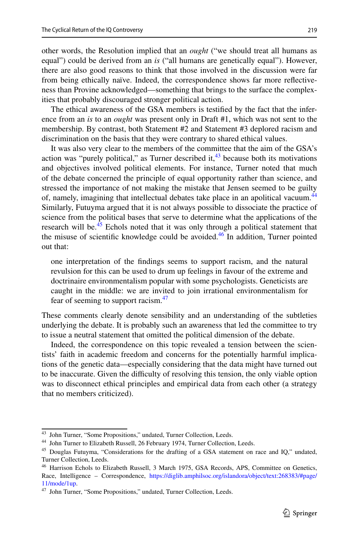other words, the Resolution implied that an *ought* ("we should treat all humans as equal") could be derived from an *is* ("all humans are genetically equal"). However, there are also good reasons to think that those involved in the discussion were far from being ethically naïve. Indeed, the correspondence shows far more refectiveness than Provine acknowledged—something that brings to the surface the complexities that probably discouraged stronger political action.

The ethical awareness of the GSA members is testifed by the fact that the inference from an *is* to an *ought* was present only in Draft #1, which was not sent to the membership. By contrast, both Statement #2 and Statement #3 deplored racism and discrimination on the basis that they were contrary to shared ethical values.

It was also very clear to the members of the committee that the aim of the GSA's action was "purely political," as Turner described it, $43$  because both its motivations and objectives involved political elements. For instance, Turner noted that much of the debate concerned the principle of equal opportunity rather than science, and stressed the importance of not making the mistake that Jensen seemed to be guilty of, namely, imagining that intellectual debates take place in an apolitical vacuum.<sup>44</sup> Similarly, Futuyma argued that it is not always possible to dissociate the practice of science from the political bases that serve to determine what the applications of the research will be.<sup>45</sup> Echols noted that it was only through a political statement that the misuse of scientific knowledge could be avoided.<sup>46</sup> In addition, Turner pointed out that:

one interpretation of the fndings seems to support racism, and the natural revulsion for this can be used to drum up feelings in favour of the extreme and doctrinaire environmentalism popular with some psychologists. Geneticists are caught in the middle: we are invited to join irrational environmentalism for fear of seeming to support racism.<sup>[47](#page-20-4)</sup>

These comments clearly denote sensibility and an understanding of the subtleties underlying the debate. It is probably such an awareness that led the committee to try to issue a neutral statement that omitted the political dimension of the debate.

Indeed, the correspondence on this topic revealed a tension between the scientists' faith in academic freedom and concerns for the potentially harmful implications of the genetic data—especially considering that the data might have turned out to be inaccurate. Given the difculty of resolving this tension, the only viable option was to disconnect ethical principles and empirical data from each other (a strategy that no members criticized).

<span id="page-20-0"></span><sup>&</sup>lt;sup>43</sup> John Turner, "Some Propositions," undated, Turner Collection, Leeds.

<span id="page-20-1"></span><sup>44</sup> John Turner to Elizabeth Russell, 26 February 1974, Turner Collection, Leeds.

<span id="page-20-2"></span><sup>&</sup>lt;sup>45</sup> Douglas Futuyma, "Considerations for the drafting of a GSA statement on race and IQ," undated, Turner Collection, Leeds.

<span id="page-20-3"></span><sup>46</sup> Harrison Echols to Elizabeth Russell, 3 March 1975, GSA Records, APS, Committee on Genetics, Race, Intelligence – Correspondence, [https://diglib.amphilsoc.org/islandora/object/text:268383/#page/](https://diglib.amphilsoc.org/islandora/object/text:268383/#page/11/mode/1up) [11/mode/1up](https://diglib.amphilsoc.org/islandora/object/text:268383/#page/11/mode/1up).

<span id="page-20-4"></span><sup>&</sup>lt;sup>47</sup> John Turner, "Some Propositions," undated, Turner Collection, Leeds.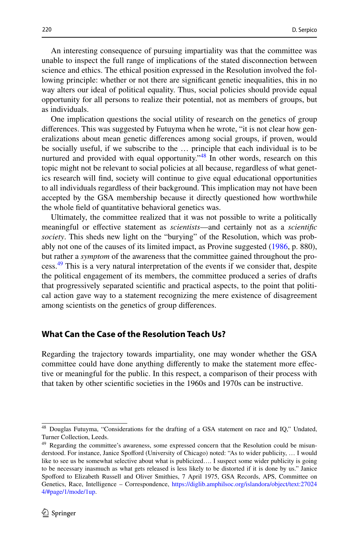An interesting consequence of pursuing impartiality was that the committee was unable to inspect the full range of implications of the stated disconnection between science and ethics. The ethical position expressed in the Resolution involved the following principle: whether or not there are signifcant genetic inequalities, this in no way alters our ideal of political equality. Thus, social policies should provide equal opportunity for all persons to realize their potential, not as members of groups, but as individuals.

One implication questions the social utility of research on the genetics of group diferences. This was suggested by Futuyma when he wrote, "it is not clear how generalizations about mean genetic diferences among social groups, if proven, would be socially useful, if we subscribe to the … principle that each individual is to be nurtured and provided with equal opportunity.<sup>48</sup> In other words, research on this topic might not be relevant to social policies at all because, regardless of what genetics research will fnd, society will continue to give equal educational opportunities to all individuals regardless of their background. This implication may not have been accepted by the GSA membership because it directly questioned how worthwhile the whole feld of quantitative behavioral genetics was.

Ultimately, the committee realized that it was not possible to write a politically meaningful or efective statement as *scientists*—and certainly not as a *scientifc society*. This sheds new light on the "burying" of the Resolution, which was probably not one of the causes of its limited impact, as Provine suggested [\(1986](#page-28-6), p. 880), but rather a *symptom* of the awareness that the committee gained throughout the process.<sup>49</sup> This is a very natural interpretation of the events if we consider that, despite the political engagement of its members, the committee produced a series of drafts that progressively separated scientifc and practical aspects, to the point that political action gave way to a statement recognizing the mere existence of disagreement among scientists on the genetics of group diferences.

## **What Can the Case of the Resolution Teach Us?**

Regarding the trajectory towards impartiality, one may wonder whether the GSA committee could have done anything diferently to make the statement more efective or meaningful for the public. In this respect, a comparison of their process with that taken by other scientifc societies in the 1960s and 1970s can be instructive.

<span id="page-21-0"></span><sup>48</sup> Douglas Futuyma, "Considerations for the drafting of a GSA statement on race and IQ," Undated, Turner Collection, Leeds.

<span id="page-21-1"></span><sup>&</sup>lt;sup>49</sup> Regarding the committee's awareness, some expressed concern that the Resolution could be misunderstood. For instance, Janice Spoford (University of Chicago) noted: "As to wider publicity, … I would like to see us be somewhat selective about what is publicized…. I suspect some wider publicity is going to be necessary inasmuch as what gets released is less likely to be distorted if it is done by us." Janice Spoford to Elizabeth Russell and Oliver Smithies, 7 April 1975, GSA Records, APS, Committee on Genetics, Race, Intelligence – Correspondence, [https://diglib.amphilsoc.org/islandora/object/text:27024](https://diglib.amphilsoc.org/islandora/object/text:270244/#page/1/mode/1up) [4/#page/1/mode/1up.](https://diglib.amphilsoc.org/islandora/object/text:270244/#page/1/mode/1up)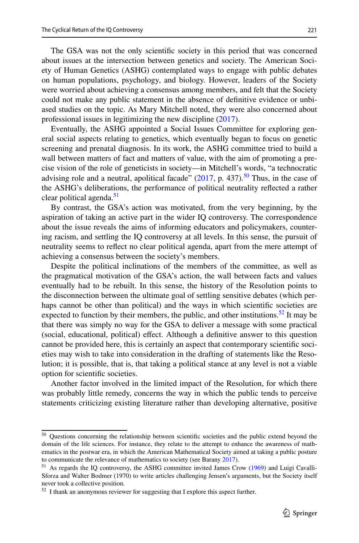The GSA was not the only scientifc society in this period that was concerned about issues at the intersection between genetics and society. The American Society of Human Genetics (ASHG) contemplated ways to engage with public debates on human populations, psychology, and biology. However, leaders of the Society were worried about achieving a consensus among members, and felt that the Society could not make any public statement in the absence of defnitive evidence or unbiased studies on the topic. As Mary Mitchell noted, they were also concerned about professional issues in legitimizing the new discipline [\(2017](#page-28-12)).

Eventually, the ASHG appointed a Social Issues Committee for exploring general social aspects relating to genetics, which eventually began to focus on genetic screening and prenatal diagnosis. In its work, the ASHG committee tried to build a wall between matters of fact and matters of value, with the aim of promoting a precise vision of the role of geneticists in society—in Mitchell's words, "a technocratic advising role and a neutral, apolitical facade"  $(2017, p. 437)$  $(2017, p. 437)$ .<sup>[50](#page-22-0)</sup> Thus, in the case of the ASHG's deliberations, the performance of political neutrality refected a rather clear political agenda.<sup>[51](#page-22-1)</sup>

By contrast, the GSA's action was motivated, from the very beginning, by the aspiration of taking an active part in the wider IQ controversy. The correspondence about the issue reveals the aims of informing educators and policymakers, countering racism, and settling the IQ controversy at all levels. In this sense, the pursuit of neutrality seems to refect no clear political agenda, apart from the mere attempt of achieving a consensus between the society's members.

Despite the political inclinations of the members of the committee, as well as the pragmatical motivation of the GSA's action, the wall between facts and values eventually had to be rebuilt. In this sense, the history of the Resolution points to the disconnection between the ultimate goal of settling sensitive debates (which perhaps cannot be other than political) and the ways in which scientifc societies are expected to function by their members, the public, and other institutions.<sup>52</sup> It may be that there was simply no way for the GSA to deliver a message with some practical (social, educational, political) efect. Although a defnitive answer to this question cannot be provided here, this is certainly an aspect that contemporary scientifc societies may wish to take into consideration in the drafting of statements like the Resolution; it is possible, that is, that taking a political stance at any level is not a viable option for scientifc societies.

Another factor involved in the limited impact of the Resolution, for which there was probably little remedy, concerns the way in which the public tends to perceive statements criticizing existing literature rather than developing alternative, positive

<span id="page-22-0"></span><sup>50</sup> Questions concerning the relationship between scientifc societies and the public extend beyond the domain of the life sciences. For instance, they relate to the attempt to enhance the awareness of mathematics in the postwar era, in which the American Mathematical Society aimed at taking a public posture to communicate the relevance of mathematics to society (see Barany [2017](#page-26-9)).

<span id="page-22-1"></span><sup>&</sup>lt;sup>51</sup> As regards the IQ controversy, the ASHG committee invited James Crow [\(1969](#page-27-19)) and Luigi Cavalli-Sforza and Walter Bodmer (1970) to write articles challenging Jensen's arguments, but the Society itself never took a collective position.

<span id="page-22-2"></span><sup>&</sup>lt;sup>52</sup> I thank an anonymous reviewer for suggesting that I explore this aspect further.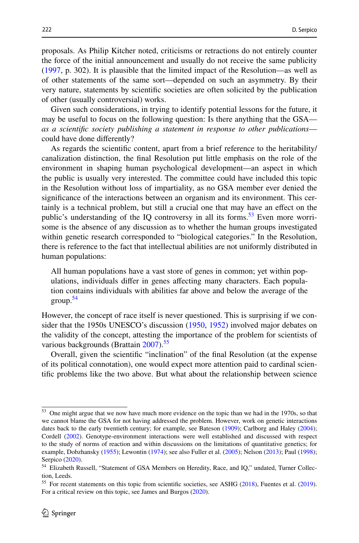proposals. As Philip Kitcher noted, criticisms or retractions do not entirely counter the force of the initial announcement and usually do not receive the same publicity [\(1997](#page-28-24), p. 302). It is plausible that the limited impact of the Resolution—as well as of other statements of the same sort—depended on such an asymmetry. By their very nature, statements by scientifc societies are often solicited by the publication of other (usually controversial) works.

Given such considerations, in trying to identify potential lessons for the future, it may be useful to focus on the following question: Is there anything that the GSA *as a scientifc society publishing a statement in response to other publications* could have done diferently?

As regards the scientifc content, apart from a brief reference to the heritability/ canalization distinction, the fnal Resolution put little emphasis on the role of the environment in shaping human psychological development—an aspect in which the public is usually very interested. The committee could have included this topic in the Resolution without loss of impartiality, as no GSA member ever denied the signifcance of the interactions between an organism and its environment. This certainly is a technical problem, but still a crucial one that may have an efect on the public's understanding of the IQ controversy in all its forms.<sup>53</sup> Even more worrisome is the absence of any discussion as to whether the human groups investigated within genetic research corresponded to "biological categories." In the Resolution, there is reference to the fact that intellectual abilities are not uniformly distributed in human populations:

All human populations have a vast store of genes in common; yet within populations, individuals difer in genes afecting many characters. Each population contains individuals with abilities far above and below the average of the group[.54](#page-23-1)

However, the concept of race itself is never questioned. This is surprising if we consider that the 1950s UNESCO's discussion ([1950](#page-29-3)[, 1952](#page-29-4)) involved major debates on the validity of the concept, attesting the importance of the problem for scientists of various backgrounds (Brattain [2007](#page-27-3)).<sup>55</sup>

Overall, given the scientifc "inclination" of the fnal Resolution (at the expense of its political connotation), one would expect more attention paid to cardinal scientifc problems like the two above. But what about the relationship between science

<span id="page-23-0"></span><sup>53</sup> One might argue that we now have much more evidence on the topic than we had in the 1970s, so that we cannot blame the GSA for not having addressed the problem. However, work on genetic interactions dates back to the early twentieth century; for example, see Bateson ([1909\)](#page-26-10); Carlborg and Haley [\(2004](#page-27-20)); Cordell [\(2002](#page-27-21)). Genotype-environment interactions were well established and discussed with respect to the study of norms of reaction and within discussions on the limitations of quantitative genetics; for example, Dobzhansky ([1955\)](#page-27-22); Lewontin [\(1974](#page-28-14)); see also Fuller et al. ([2005\)](#page-27-23); Nelson ([2013\)](#page-28-25); Paul [\(1998](#page-28-16)); Serpico [\(2020](#page-29-20)).

<span id="page-23-1"></span><sup>&</sup>lt;sup>54</sup> Elizabeth Russell, "Statement of GSA Members on Heredity, Race, and IQ," undated, Turner Collection, Leeds.

<span id="page-23-2"></span><sup>&</sup>lt;sup>55</sup> For recent statements on this topic from scientific societies, see ASHG [\(2018](#page-26-4)), Fuentes et al. ([2019\)](#page-27-24). For a critical review on this topic, see James and Burgos ([2020\)](#page-28-26).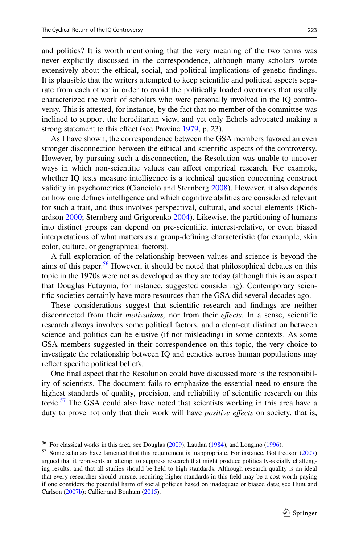and politics? It is worth mentioning that the very meaning of the two terms was never explicitly discussed in the correspondence, although many scholars wrote extensively about the ethical, social, and political implications of genetic fndings. It is plausible that the writers attempted to keep scientifc and political aspects separate from each other in order to avoid the politically loaded overtones that usually characterized the work of scholars who were personally involved in the IQ controversy. This is attested, for instance, by the fact that no member of the committee was inclined to support the hereditarian view, and yet only Echols advocated making a strong statement to this effect (see Provine [1979](#page-28-7), p. 23).

As I have shown, the correspondence between the GSA members favored an even stronger disconnection between the ethical and scientifc aspects of the controversy. However, by pursuing such a disconnection, the Resolution was unable to uncover ways in which non-scientifc values can afect empirical research. For example, whether IQ tests measure intelligence is a technical question concerning construct validity in psychometrics (Cianciolo and Sternberg [2008\)](#page-27-25). However, it also depends on how one defnes intelligence and which cognitive abilities are considered relevant for such a trait, and thus involves perspectival, cultural, and social elements (Richardson [2000](#page-28-27); Sternberg and Grigorenko [2004](#page-29-21)). Likewise, the partitioning of humans into distinct groups can depend on pre-scientifc, interest-relative, or even biased interpretations of what matters as a group-defning characteristic (for example, skin color, culture, or geographical factors).

A full exploration of the relationship between values and science is beyond the aims of this paper.<sup>56</sup> However, it should be noted that philosophical debates on this topic in the 1970s were not as developed as they are today (although this is an aspect that Douglas Futuyma, for instance, suggested considering). Contemporary scientifc societies certainly have more resources than the GSA did several decades ago.

These considerations suggest that scientifc research and fndings are neither disconnected from their *motivations,* nor from their *efects*. In a sense, scientifc research always involves some political factors, and a clear-cut distinction between science and politics can be elusive (if not misleading) in some contexts. As some GSA members suggested in their correspondence on this topic, the very choice to investigate the relationship between IQ and genetics across human populations may refect specifc political beliefs.

One fnal aspect that the Resolution could have discussed more is the responsibility of scientists. The document fails to emphasize the essential need to ensure the highest standards of quality, precision, and reliability of scientifc research on this topic.<sup>57</sup> The GSA could also have noted that scientists working in this area have a duty to prove not only that their work will have *positive efects* on society, that is,

<span id="page-24-0"></span><sup>56</sup> For classical works in this area, see Douglas ([2009\)](#page-27-26), Laudan [\(1984](#page-28-28)), and Longino [\(1996](#page-28-29)).

<span id="page-24-1"></span><sup>57</sup> Some scholars have lamented that this requirement is inappropriate. For instance, Gottfredson ([2007\)](#page-27-27) argued that it represents an attempt to suppress research that might produce politically-socially challenging results, and that all studies should be held to high standards. Although research quality is an ideal that every researcher should pursue, requiring higher standards in this feld may be a cost worth paying if one considers the potential harm of social policies based on inadequate or biased data; see Hunt and Carlson ([2007b\)](#page-27-28); Callier and Bonham ([2015\)](#page-27-29).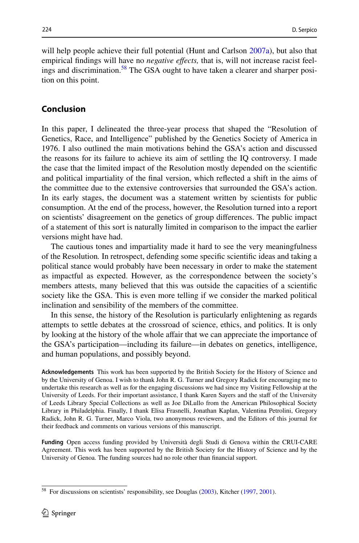will help people achieve their full potential (Hunt and Carlson [2007a\)](#page-27-30), but also that empirical fndings will have no *negative efects,* that is, will not increase racist feelings and discrimination[.58](#page-25-0) The GSA ought to have taken a clearer and sharper position on this point.

## **Conclusion**

In this paper, I delineated the three-year process that shaped the "Resolution of Genetics, Race, and Intelligence" published by the Genetics Society of America in 1976. I also outlined the main motivations behind the GSA's action and discussed the reasons for its failure to achieve its aim of settling the IQ controversy. I made the case that the limited impact of the Resolution mostly depended on the scientifc and political impartiality of the fnal version, which refected a shift in the aims of the committee due to the extensive controversies that surrounded the GSA's action. In its early stages, the document was a statement written by scientists for public consumption. At the end of the process, however, the Resolution turned into a report on scientists' disagreement on the genetics of group diferences. The public impact of a statement of this sort is naturally limited in comparison to the impact the earlier versions might have had.

The cautious tones and impartiality made it hard to see the very meaningfulness of the Resolution*.* In retrospect, defending some specifc scientifc ideas and taking a political stance would probably have been necessary in order to make the statement as impactful as expected. However, as the correspondence between the society's members attests, many believed that this was outside the capacities of a scientific society like the GSA. This is even more telling if we consider the marked political inclination and sensibility of the members of the committee.

In this sense, the history of the Resolution is particularly enlightening as regards attempts to settle debates at the crossroad of science, ethics, and politics. It is only by looking at the history of the whole afair that we can appreciate the importance of the GSA's participation—including its failure—in debates on genetics, intelligence, and human populations, and possibly beyond.

**Acknowledgements** This work has been supported by the British Society for the History of Science and by the University of Genoa. I wish to thank John R. G. Turner and Gregory Radick for encouraging me to undertake this research as well as for the engaging discussions we had since my Visiting Fellowship at the University of Leeds. For their important assistance, I thank Karen Sayers and the staff of the University of Leeds Library Special Collections as well as Joe DiLullo from the American Philosophical Society Library in Philadelphia. Finally, I thank Elisa Frasnelli, Jonathan Kaplan, Valentina Petrolini, Gregory Radick, John R. G. Turner, Marco Viola, two anonymous reviewers, and the Editors of this journal for their feedback and comments on various versions of this manuscript.

**Funding** Open access funding provided by Università degli Studi di Genova within the CRUI-CARE Agreement. This work has been supported by the British Society for the History of Science and by the University of Genoa. The funding sources had no role other than fnancial support.

<span id="page-25-0"></span><sup>&</sup>lt;sup>58</sup> For discussions on scientists' responsibility, see Douglas [\(2003](#page-27-31)), Kitcher ([1997,](#page-28-24) [2001\)](#page-28-30).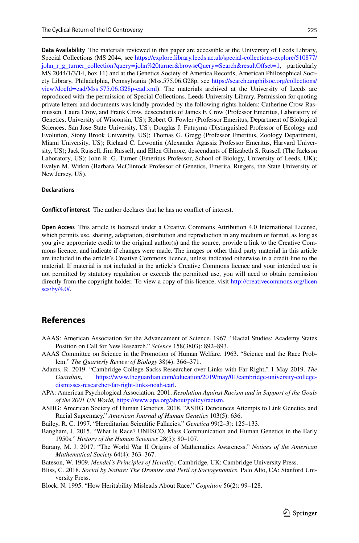**Data Availability** The materials reviewed in this paper are accessible at the University of Leeds Library, Special Collections (MS 2044, see [https://explore.library.leeds.ac.uk/special-collections-explore/510877/](https://explore.library.leeds.ac.uk/special-collections-explore/510877/john_r_g_turner_collection?query=john%20turner&browseQuery=Search&resultOffset=1) [john\\_r\\_g\\_turner\\_collection?query=john%20turner&browseQuery=Search&resultOfset=1,](https://explore.library.leeds.ac.uk/special-collections-explore/510877/john_r_g_turner_collection?query=john%20turner&browseQuery=Search&resultOffset=1) particularly MS 2044/1/3/14, box 11) and at the Genetics Society of America Records, American Philosophical Society Library, Philadelphia, Pennsylvania (Mss.575.06.G28p, see [https://search.amphilsoc.org/collections/](https://search.amphilsoc.org/collections/view?docId=ead/Mss.575.06.G28p-ead.xml) [view?docId=ead/Mss.575.06.G28p-ead.xml](https://search.amphilsoc.org/collections/view?docId=ead/Mss.575.06.G28p-ead.xml)). The materials archived at the University of Leeds are reproduced with the permission of Special Collections, Leeds University Library. Permission for quoting private letters and documents was kindly provided by the following rights holders: Catherine Crow Rasmussen, Laura Crow, and Frank Crow, descendants of James F. Crow (Professor Emeritus, Laboratory of Genetics, University of Wisconsin, US); Robert G. Fowler (Professor Emeritus, Department of Biological Sciences, San Jose State University, US); Douglas J. Futuyma (Distinguished Professor of Ecology and Evolution, Stony Brook University, US); Thomas G. Gregg (Professor Emeritus, Zoology Department, Miami University, US); Richard C. Lewontin (Alexander Agassiz Professor Emeritus, Harvard University, US); Jack Russell, Jim Russell, and Ellen Gilmore, descendants of Elizabeth S. Russell (The Jackson Laboratory, US); John R. G. Turner (Emeritus Professor, School of Biology, University of Leeds, UK); Evelyn M. Witkin (Barbara McClintock Professor of Genetics, Emerita, Rutgers, the State University of New Jersey, US).

#### **Declarations**

**Confict of interest** The author declares that he has no confict of interest.

**Open Access** This article is licensed under a Creative Commons Attribution 4.0 International License, which permits use, sharing, adaptation, distribution and reproduction in any medium or format, as long as you give appropriate credit to the original author(s) and the source, provide a link to the Creative Commons licence, and indicate if changes were made. The images or other third party material in this article are included in the article's Creative Commons licence, unless indicated otherwise in a credit line to the material. If material is not included in the article's Creative Commons licence and your intended use is not permitted by statutory regulation or exceeds the permitted use, you will need to obtain permission directly from the copyright holder. To view a copy of this licence, visit [http://creativecommons.org/licen](http://creativecommons.org/licenses/by/4.0/) [ses/by/4.0/](http://creativecommons.org/licenses/by/4.0/).

#### **References**

- <span id="page-26-2"></span>AAAS: American Association for the Advancement of Science. 1967. "Racial Studies: Academy States Position on Call for New Research." *Science* 158(3803): 892–893.
- <span id="page-26-1"></span>AAAS Committee on Science in the Promotion of Human Welfare. 1963. "Science and the Race Problem." *The Quarterly Review of Biology* 38(4): 366–371.
- <span id="page-26-0"></span>Adams, R. 2019. "Cambridge College Sacks Researcher over Links with Far Right," 1 May 2019. *The Guardian*, [https://www.theguardian.com/education/2019/may/01/cambridge-university-college](https://www.theguardian.com/education/2019/may/01/cambridge-university-college-dismisses-researcher-far-right-links-noah-carl)[dismisses-researcher-far-right-links-noah-carl.](https://www.theguardian.com/education/2019/may/01/cambridge-university-college-dismisses-researcher-far-right-links-noah-carl)
- <span id="page-26-3"></span>APA: American Psychological Association. 2001. *Resolution Against Racism and in Support of the Goals of the 2001 UN World,* <https://www.apa.org/about/policy/racism>.
- <span id="page-26-4"></span>ASHG: American Society of Human Genetics. 2018. "ASHG Denounces Attempts to Link Genetics and Racial Supremacy." *American Journal of Human Genetics* 103(5): 636.
- <span id="page-26-8"></span>Bailey, R. C. 1997. "Hereditarian Scientifc Fallacies." *Genetica* 99(2–3): 125–133.
- <span id="page-26-5"></span>Bangham, J. 2015. "What Is Race? UNESCO, Mass Communication and Human Genetics in the Early 1950s." *History of the Human Sciences* 28(5): 80–107.
- <span id="page-26-9"></span>Barany, M. J. 2017. "The World War II Origins of Mathematics Awareness." *Notices of the American Mathematical Society* 64(4): 363–367.

<span id="page-26-10"></span>Bateson, W. 1909. *Mendel's Principles of Heredity*. Cambridge, UK: Cambridge University Press.

- <span id="page-26-7"></span>Bliss, C. 2018. *Social by Nature: The Oromise and Peril of Sociogenomics*. Palo Alto, CA: Stanford University Press.
- <span id="page-26-6"></span>Block, N. 1995. "How Heritability Misleads About Race." *Cognition* 56(2): 99–128.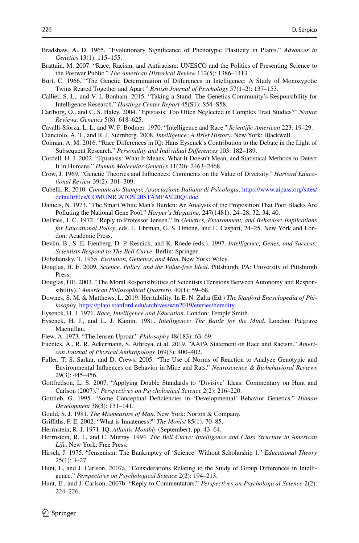- <span id="page-27-18"></span>Bradshaw, A. D. 1965. "Evolutionary Signifcance of Phenotypic Plasticity in Plants." *Advances in Genetics* 13(1): 115–155.
- <span id="page-27-3"></span>Brattain, M. 2007. "Race, Racism, and Antiracism: UNESCO and the Politics of Presenting Science to the Postwar Public." *The American Historical Review* 112(5): 1386–1413.
- <span id="page-27-8"></span>Burt, C. 1966. "The Genetic Determination of Diferences in Intelligence: A Study of Monozygotic Twins Reared Together and Apart." *British Journal of Psychology* 57(1–2): 137–153.
- <span id="page-27-29"></span>Callier, S. L,, and V. L Bonham. 2015. "Taking a Stand: The Genetics Community's Responsibility for Intelligence Research." *Hastings Center Report* 45(S1): S54–S58.
- <span id="page-27-20"></span>Carlborg, O., and C. S. Haley. 2004. "Epistasis: Too Often Neglected in Complex Trait Studies?" *Nature Reviews. Genetics* 5(8): 618–625.

<span id="page-27-11"></span>Cavalli-Sforza, L. L, and W. F. Bodmer. 1970. "Intelligence and Race." *Scientifc American* 223: 19–29.

- <span id="page-27-25"></span>Cianciolo, A. T., and R. J. Sternberg. 2008. *Intelligence: A Brief History*. New York: Blackwell.
- <span id="page-27-7"></span>Colman, A. M. 2016. "Race Diferences in IQ: Hans Eysenck's Contribution to the Debate in the Light of Subsequent Research." *Personality and Individual Diferences* 103: 182–189.
- <span id="page-27-21"></span>Cordell, H. J. 2002. "Epistasis: What It Means, What It Doesn't Mean, and Statistical Methods to Detect It in Humans." *Human Molecular Genetics* 11(20): 2463–2468.
- <span id="page-27-19"></span>Crow, J. 1969. "Genetic Theories and Infuences: Comments on the Value of Diversity." *Harvard Educational Review* 39(2): 301–309.
- <span id="page-27-2"></span>Cubelli, R. 2010. *Comunicato Stampa, Associazione Italiana di Psicologia*, [https://www.aipass.org/sites/](https://www.aipass.org/sites/default/files/COMUNICATO%20STAMPA%20QI.doc) [default/fles/COMUNICATO%20STAMPA%20QI.doc.](https://www.aipass.org/sites/default/files/COMUNICATO%20STAMPA%20QI.doc)
- <span id="page-27-4"></span>Daniels, N. 1973. "The Smart White Man's Burden: An Analysis of the Proposition That Poor Blacks Are Polluting the National Gene Pool." *Harper's Magazine*, 247(1481): 24–28, 32, 34, 40.
- <span id="page-27-12"></span>DeFries, J. C. 1972. "Reply to Professor Jensen." In *Genetics, Environment, and Behavior: Implications for Educational Policy*, eds. L. Ehrman, G. S. Omenn, and E. Caspari, 24–25. New York and London: Academic Press.
- <span id="page-27-6"></span>Devlin, B., S. E. Fienberg, D. P. Resnick, and K. Roede (eds.). 1997. *Intelligence, Genes, and Success: Scientists Respond to The Bell Curve*. Berlin: Springer.
- <span id="page-27-22"></span>Dobzhansky, T. 1955. *Evolution, Genetics, and Man*. New York: Wiley.
- <span id="page-27-26"></span>Douglas, H. E. 2009. *Science, Policy, and the Value-free Ideal*. Pittsburgh, PA: University of Pittsburgh Press.
- <span id="page-27-31"></span>Douglas, HE. 2003. "The Moral Responsibilities of Scientists (Tensions Between Autonomy and Responsibility)." *American Philosophical Quarterly* 40(1): 59–68.
- <span id="page-27-15"></span>Downes, S. M. & Matthews, L. 2019. Heritability. In E. N. Zalta (Ed.) *The Stanford Encyclopedia of Philosophy*, [https://plato.stanford.edu/archives/win2019/entries/heredity.](https://plato.stanford.edu/archives/win2019/entries/heredity)
- <span id="page-27-10"></span>Eysenck, H. J. 1971. *Race, Intelligence and Education*. London: Temple Smith.
- <span id="page-27-9"></span>Eysenck, H. J., and L. J. Kamin. 1981. *Intelligence: The Battle for the Mind*. London: Palgrave Macmillan.
- <span id="page-27-14"></span>Flew, A. 1973. "The Jensen Uproar." *Philosophy* 48(183): 63–69.
- <span id="page-27-24"></span>Fuentes, A., R. R. Ackermann, S. Athreya, et al. 2019. "AAPA Statement on Race and Racism." *American Journal of Physical Anthropology* 169(3): 400–402.
- <span id="page-27-23"></span>Fuller, T, S. Sarkar, and D. Crews. 2005. "The Use of Norms of Reaction to Analyze Genotypic and Environmental Infuences on Behavior in Mice and Rats." *Neuroscience & Biobehavioral Reviews* 29(3): 445–456.
- <span id="page-27-27"></span>Gottfredson, L. S. 2007. "Applying Double Standards to 'Divisive' Ideas: Commentary on Hunt and Carlson (2007)." *Perspectives on Psychological Science* 2(2): 216–220.
- <span id="page-27-16"></span>Gottlieb, G. 1995. "Some Conceptual Defciencies in 'Developmental' Behavior Genetics." *Human Development* 38(3): 131–141.
- <span id="page-27-5"></span>Gould, S. J. 1981. *The Mismeasure of Man*. New York: Norton & Company.
- <span id="page-27-17"></span>Grifths, P. E. 2002. "What is Innateness?" *The Monist* 85(1): 70–85.
- <span id="page-27-0"></span>Herrnstein, R. J. 1971. IQ. *Atlantic Monthly* (September), pp. 43–64.
- <span id="page-27-1"></span>Herrnstein, R. J., and C. Murray. 1994. *The Bell Curve: Intelligence and Class Structure in American Life*. New York: Free Press.
- <span id="page-27-13"></span>Hirsch, J. 1975. "Jensenism: The Bankruptcy of 'Science' Without Scholarship 1." *Educational Theory*  $25(1)$ : 3–27.
- <span id="page-27-30"></span>Hunt, E, and J. Carlson. 2007a. "Considerations Relating to the Study of Group Diferences in Intelligence." *Perspectives on Psychological Science* 2(2): 194–213.
- <span id="page-27-28"></span>Hunt, E., and J. Carlson. 2007b. "Reply to Commentators." *Perspectives on Psychological Science* 2(2): 224–226.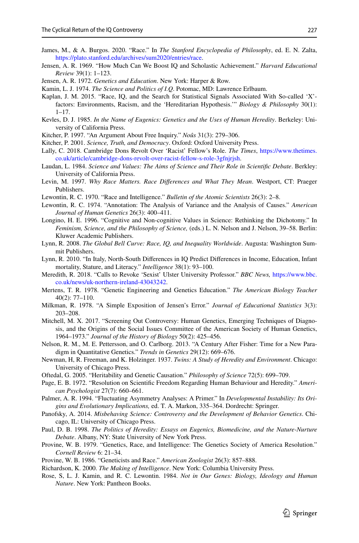- <span id="page-28-26"></span>James, M., & A. Burgos. 2020. "Race." In *The Stanford Encyclopedia of Philosophy*, ed. E. N. Zalta, <https://plato.stanford.edu/archives/sum2020/entries/race>.
- <span id="page-28-0"></span>Jensen, A. R. 1969. "How Much Can We Boost IQ and Scholastic Achievement." *Harvard Educational Review* 39(1): 1–123.
- <span id="page-28-13"></span>Jensen, A. R. 1972. *Genetics and Education*. New York: Harper & Row.
- <span id="page-28-15"></span>Kamin, L. J. 1974. *The Science and Politics of I.Q*. Potomac, MD: Lawrence Erlbaum.
- <span id="page-28-19"></span>Kaplan, J. M. 2015. "Race, IQ, and the Search for Statistical Signals Associated With So-called 'X' factors: Environments, Racism, and the 'Hereditarian Hypothesis.'" *Biology & Philosophy* 30(1): 1–17.
- <span id="page-28-8"></span>Kevles, D. J. 1985. *In the Name of Eugenics: Genetics and the Uses of Human Heredity*. Berkeley: University of California Press.
- <span id="page-28-24"></span>Kitcher, P. 1997. "An Argument About Free Inquiry." *Noûs* 31(3): 279–306.
- <span id="page-28-30"></span>Kitcher, P. 2001. *Science, Truth, and Democracy*. Oxford: Oxford University Press.
- <span id="page-28-4"></span>Lally, C. 2018. Cambridge Dons Revolt Over 'Racist' Fellow's Role. *The Times*, [https://www.thetimes.](https://www.thetimes.co.uk/article/cambridge-dons-revolt-over-racist-fellow-s-role-3gfnjrjsh) [co.uk/article/cambridge-dons-revolt-over-racist-fellow-s-role-3gfnjrjsh.](https://www.thetimes.co.uk/article/cambridge-dons-revolt-over-racist-fellow-s-role-3gfnjrjsh)
- <span id="page-28-28"></span>Laudan, L. 1984. *Science and Values: The Aims of Science and Their Role in Scientifc Debate*. Berkley: University of California Press.
- <span id="page-28-1"></span>Levin, M. 1997. *Why Race Matters. Race Diferences and What They Mean*. Westport, CT: Praeger Publishers.
- <span id="page-28-9"></span>Lewontin, R. C. 1970. "Race and Intelligence." *Bulletin of the Atomic Scientists* 26(3): 2–8.
- <span id="page-28-14"></span>Lewontin, R. C. 1974. "Annotation: The Analysis of Variance and the Analysis of Causes." *American Journal of Human Genetics* 26(3): 400–411.
- <span id="page-28-29"></span>Longino, H. E. 1996. "Cognitive and Non-cognitive Values in Science: Rethinking the Dichotomy." In *Feminism, Science, and the Philosophy of Science,* (eds.) L. N. Nelson and J. Nelson, 39–58. Berlin: Kluwer Academic Publishers.
- <span id="page-28-2"></span>Lynn, R. 2008. *The Global Bell Curve: Race, IQ, and Inequality Worldwide*. Augusta: Washington Summit Publishers.
- <span id="page-28-3"></span>Lynn, R. 2010. "In Italy, North-South Diferences in IQ Predict Diferences in Income, Education, Infant mortality, Stature, and Literacy." *Intelligence* 38(1): 93–100.
- <span id="page-28-5"></span>Meredith, R. 2018. "Calls to Revoke 'Sexist' Ulster University Professor." *BBC News,* [https://www.bbc.](https://www.bbc.co.uk/news/uk-northern-ireland-43043242) [co.uk/news/uk-northern-ireland-43043242](https://www.bbc.co.uk/news/uk-northern-ireland-43043242).
- <span id="page-28-22"></span>Mertens, T. R. 1978. "Genetic Engineering and Genetics Education." *The American Biology Teacher* 40(2): 77–110.
- <span id="page-28-23"></span>Milkman, R. 1978. "A Simple Exposition of Jensen's Error." *Journal of Educational Statistics* 3(3): 203–208.
- <span id="page-28-12"></span>Mitchell, M. X. 2017. "Screening Out Controversy: Human Genetics, Emerging Techniques of Diagnosis, and the Origins of the Social Issues Committee of the American Society of Human Genetics, 1964–1973." *Journal of the History of Biology* 50(2): 425–456.
- <span id="page-28-25"></span>Nelson, R. M., M. E. Pettersson, and O. Carlborg. 2013. "A Century After Fisher: Time for a New Paradigm in Quantitative Genetics." *Trends in Genetics* 29(12): 669–676.
- <span id="page-28-11"></span>Newman, H, R. Freeman, and K. Holzinger. 1937. *Twins: A Study of Heredity and Environment*. Chicago: University of Chicago Press.
- <span id="page-28-20"></span>Oftedal, G. 2005. "Heritability and Genetic Causation." *Philosophy of Science* 72(5): 699–709.
- <span id="page-28-18"></span>Page, E. B. 1972. "Resolution on Scientifc Freedom Regarding Human Behaviour and Heredity." *American Psychologist* 27(7): 660–661.
- <span id="page-28-21"></span>Palmer, A. R. 1994. "Fluctuating Asymmetry Analyses: A Primer." In *Developmental Instability: Its Origins and Evolutionary Implications,* ed. T. A. Markon, 335–364. Dordrecht: Springer.
- <span id="page-28-17"></span>Panofsky, A. 2014. *Misbehaving Science: Controversy and the Development of Behavior Genetics*. Chicago, IL: University of Chicago Press.
- <span id="page-28-16"></span>Paul, D. B. 1998. *The Politics of Heredity: Essays on Eugenics, Biomedicine, and the Nature-Nurture Debate*. Albany, NY: State University of New York Press.
- <span id="page-28-7"></span>Provine, W. B. 1979. "Genetics, Race, and Intelligence: The Genetics Society of America Resolution." *Cornell Review* 6: 21–34.
- <span id="page-28-6"></span>Provine, W. B. 1986. "Geneticists and Race." *American Zoologist* 26(3): 857–888.
- <span id="page-28-27"></span>Richardson, K. 2000. *The Making of Intelligence*. New York: Columbia University Press.
- <span id="page-28-10"></span>Rose, S, L. J. Kamin, and R. C. Lewontin. 1984. *Not in Our Genes: Biology, Ideology and Human Nature*. New York: Pantheon Books.